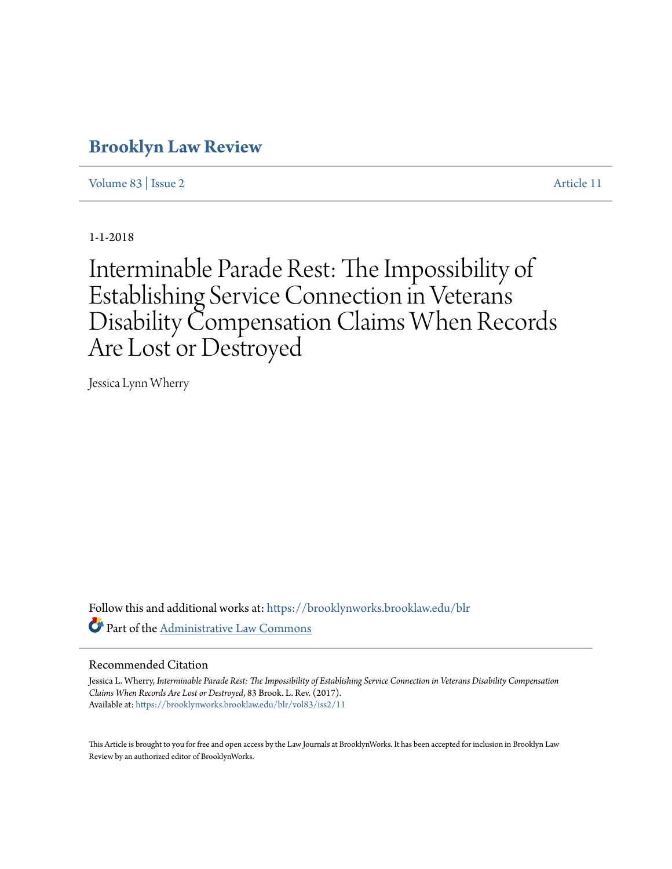# **[Brooklyn Law Review](https://brooklynworks.brooklaw.edu/blr?utm_source=brooklynworks.brooklaw.edu%2Fblr%2Fvol83%2Fiss2%2F11&utm_medium=PDF&utm_campaign=PDFCoverPages)**

[Volume 83](https://brooklynworks.brooklaw.edu/blr/vol83?utm_source=brooklynworks.brooklaw.edu%2Fblr%2Fvol83%2Fiss2%2F11&utm_medium=PDF&utm_campaign=PDFCoverPages) | [Issue 2](https://brooklynworks.brooklaw.edu/blr/vol83/iss2?utm_source=brooklynworks.brooklaw.edu%2Fblr%2Fvol83%2Fiss2%2F11&utm_medium=PDF&utm_campaign=PDFCoverPages) [Article 11](https://brooklynworks.brooklaw.edu/blr/vol83/iss2/11?utm_source=brooklynworks.brooklaw.edu%2Fblr%2Fvol83%2Fiss2%2F11&utm_medium=PDF&utm_campaign=PDFCoverPages)

1-1-2018

Interminable Parade Rest: The Impossibility of Establishing Service Connection in Veterans Disability Compensation Claims When Records Are Lost or Destroyed

Jessica Lynn Wherry

Follow this and additional works at: [https://brooklynworks.brooklaw.edu/blr](https://brooklynworks.brooklaw.edu/blr?utm_source=brooklynworks.brooklaw.edu%2Fblr%2Fvol83%2Fiss2%2F11&utm_medium=PDF&utm_campaign=PDFCoverPages) Part of the [Administrative Law Commons](http://network.bepress.com/hgg/discipline/579?utm_source=brooklynworks.brooklaw.edu%2Fblr%2Fvol83%2Fiss2%2F11&utm_medium=PDF&utm_campaign=PDFCoverPages)

#### Recommended Citation

Jessica L. Wherry, *Interminable Parade Rest: The Impossibility of Establishing Service Connection in Veterans Disability Compensation Claims When Records Are Lost or Destroyed*, 83 Brook. L. Rev. (2017). Available at: [https://brooklynworks.brooklaw.edu/blr/vol83/iss2/11](https://brooklynworks.brooklaw.edu/blr/vol83/iss2/11?utm_source=brooklynworks.brooklaw.edu%2Fblr%2Fvol83%2Fiss2%2F11&utm_medium=PDF&utm_campaign=PDFCoverPages)

This Article is brought to you for free and open access by the Law Journals at BrooklynWorks. It has been accepted for inclusion in Brooklyn Law Review by an authorized editor of BrooklynWorks.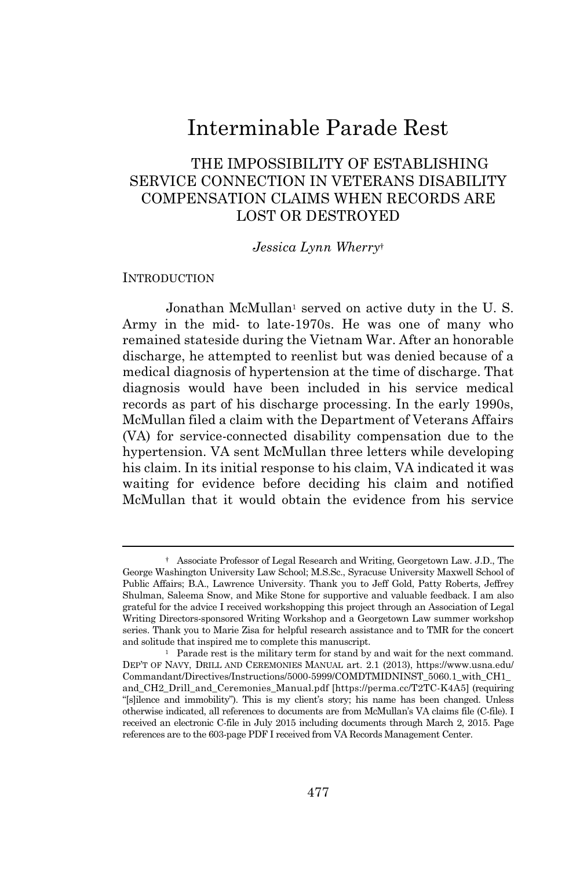# Interminable Parade Rest

## THE IMPOSSIBILITY OF ESTABLISHING SERVICE CONNECTION IN VETERANS DISABILITY COMPENSATION CLAIMS WHEN RECORDS ARE LOST OR DESTROYED

#### *Jessica Lynn Wherry*†

### **INTRODUCTION**

Jonathan McMullan<sup>1</sup> served on active duty in the U.S. Army in the mid- to late-1970s. He was one of many who remained stateside during the Vietnam War. After an honorable discharge, he attempted to reenlist but was denied because of a medical diagnosis of hypertension at the time of discharge. That diagnosis would have been included in his service medical records as part of his discharge processing. In the early 1990s, McMullan filed a claim with the Department of Veterans Affairs (VA) for service-connected disability compensation due to the hypertension. VA sent McMullan three letters while developing his claim. In its initial response to his claim, VA indicated it was waiting for evidence before deciding his claim and notified McMullan that it would obtain the evidence from his service

<sup>†</sup> Associate Professor of Legal Research and Writing, Georgetown Law. J.D., The George Washington University Law School; M.S.Sc., Syracuse University Maxwell School of Public Affairs; B.A., Lawrence University. Thank you to Jeff Gold, Patty Roberts, Jeffrey Shulman, Saleema Snow, and Mike Stone for supportive and valuable feedback. I am also grateful for the advice I received workshopping this project through an Association of Legal Writing Directors-sponsored Writing Workshop and a Georgetown Law summer workshop series. Thank you to Marie Zisa for helpful research assistance and to TMR for the concert and solitude that inspired me to complete this manuscript.

<sup>&</sup>lt;sup>1</sup> Parade rest is the military term for stand by and wait for the next command. DEP'T OF NAVY, DRILL AND CEREMONIES MANUAL art. 2.1 (2013), https://www.usna.edu/ Commandant/Directives/Instructions/5000-5999/COMDTMIDNINST\_5060.1\_with\_CH1\_ and\_CH2\_Drill\_and\_Ceremonies\_Manual.pdf [https://perma.cc/T2TC-K4A5] (requiring "[s]ilence and immobility"). This is my client's story; his name has been changed. Unless otherwise indicated, all references to documents are from McMullan's VA claims file (C-file). I received an electronic C-file in July 2015 including documents through March 2, 2015. Page references are to the 603-page PDF I received from VA Records Management Center.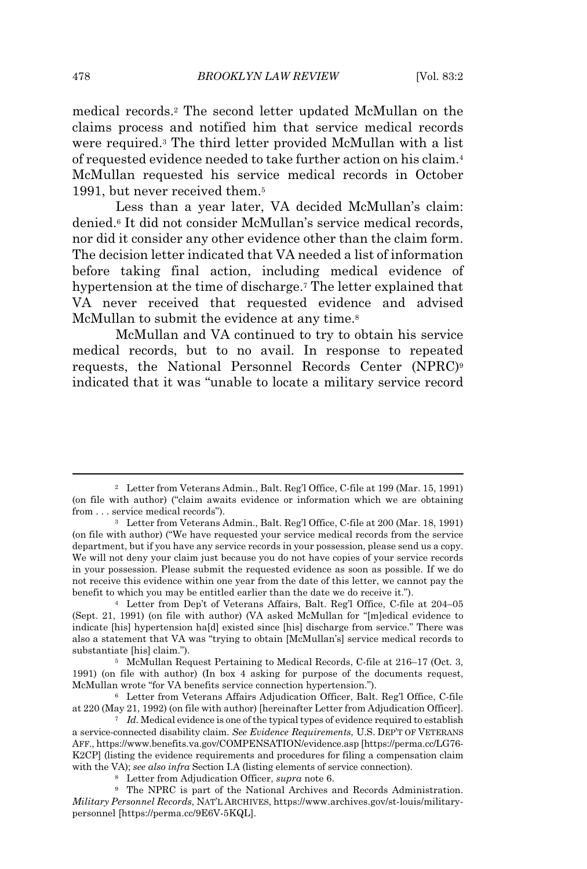medical records.<sup>2</sup> The second letter updated McMullan on the claims process and notified him that service medical records were required.<sup>3</sup> The third letter provided McMullan with a list of requested evidence needed to take further action on his claim.<sup>4</sup> McMullan requested his service medical records in October 1991, but never received them.<sup>5</sup>

Less than a year later, VA decided McMullan's claim: denied.<sup>6</sup> It did not consider McMullan's service medical records, nor did it consider any other evidence other than the claim form. The decision letter indicated that VA needed a list of information before taking final action, including medical evidence of hypertension at the time of discharge.<sup>7</sup> The letter explained that VA never received that requested evidence and advised McMullan to submit the evidence at any time.<sup>8</sup>

McMullan and VA continued to try to obtain his service medical records, but to no avail. In response to repeated requests, the National Personnel Records Center (NPRC)<sup>9</sup> indicated that it was "unable to locate a military service record

<sup>2</sup> Letter from Veterans Admin., Balt. Reg'l Office, C-file at 199 (Mar. 15, 1991) (on file with author) ("claim awaits evidence or information which we are obtaining from . . . service medical records").

<sup>3</sup> Letter from Veterans Admin., Balt. Reg'l Office, C-file at 200 (Mar. 18, 1991) (on file with author) ("We have requested your service medical records from the service department, but if you have any service records in your possession, please send us a copy. We will not deny your claim just because you do not have copies of your service records in your possession. Please submit the requested evidence as soon as possible. If we do not receive this evidence within one year from the date of this letter, we cannot pay the benefit to which you may be entitled earlier than the date we do receive it.").

<sup>4</sup> Letter from Dep't of Veterans Affairs, Balt. Reg'l Office, C-file at 204–05 (Sept. 21, 1991) (on file with author) (VA asked McMullan for "[m]edical evidence to indicate [his] hypertension ha[d] existed since [his] discharge from service." There was also a statement that VA was "trying to obtain [McMullan's] service medical records to substantiate [his] claim.").

<sup>5</sup> McMullan Request Pertaining to Medical Records, C-file at 216–17 (Oct. 3, 1991) (on file with author) (In box 4 asking for purpose of the documents request, McMullan wrote "for VA benefits service connection hypertension.").

<sup>6</sup> Letter from Veterans Affairs Adjudication Officer, Balt. Reg'l Office, C-file at 220 (May 21, 1992) (on file with author) [hereinafter Letter from Adjudication Officer].

<sup>&</sup>lt;sup>7</sup> *Id.* Medical evidence is one of the typical types of evidence required to establish a service-connected disability claim. *See Evidence Requirements*, U.S. DEP'T OF VETERANS AFF., https://www.benefits.va.gov/COMPENSATION/evidence.asp [https://perma.cc/LG76- K2CP] (listing the evidence requirements and procedures for filing a compensation claim with the VA); *see also infra* Section I.A (listing elements of service connection).

<sup>8</sup> Letter from Adjudication Officer, *supra* note 6.

<sup>9</sup> The NPRC is part of the National Archives and Records Administration. *Military Personnel Records*, NAT'L ARCHIVES, https://www.archives.gov/st-louis/militarypersonnel [https://perma.cc/9E6V-5KQL].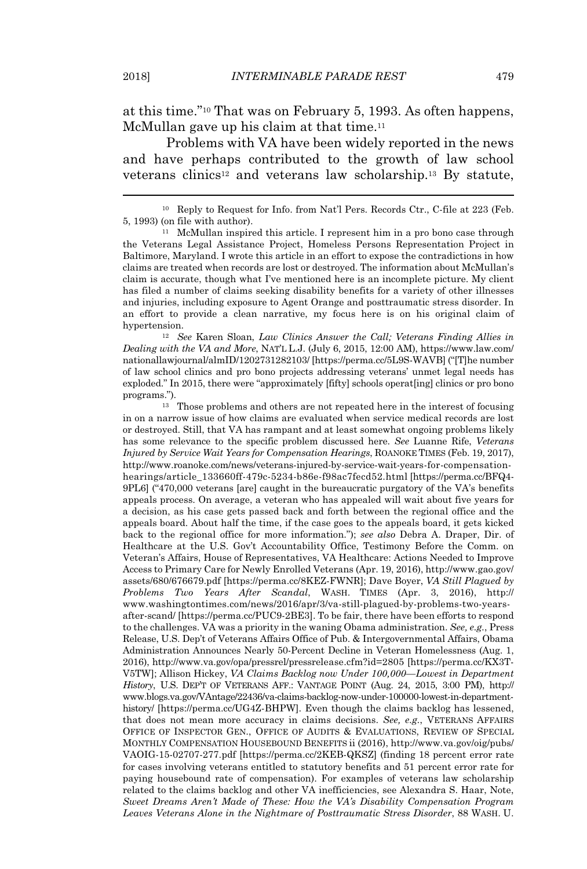at this time."<sup>10</sup> That was on February 5, 1993. As often happens, McMullan gave up his claim at that time.<sup>11</sup>

Problems with VA have been widely reported in the news and have perhaps contributed to the growth of law school veterans clinics<sup>12</sup> and veterans law scholarship.<sup>13</sup> By statute,

<sup>10</sup> Reply to Request for Info. from Nat'l Pers. Records Ctr., C-file at 223 (Feb. 5, 1993) (on file with author).

<sup>11</sup> McMullan inspired this article. I represent him in a pro bono case through the Veterans Legal Assistance Project, Homeless Persons Representation Project in Baltimore, Maryland. I wrote this article in an effort to expose the contradictions in how claims are treated when records are lost or destroyed. The information about McMullan's claim is accurate, though what I've mentioned here is an incomplete picture. My client has filed a number of claims seeking disability benefits for a variety of other illnesses and injuries, including exposure to Agent Orange and posttraumatic stress disorder. In an effort to provide a clean narrative, my focus here is on his original claim of hypertension.

<sup>12</sup> *See* Karen Sloan, *Law Clinics Answer the Call; Veterans Finding Allies in Dealing with the VA and More*, NAT'L L.J. (July 6, 2015, 12:00 AM), https://www.law.com/ nationallawjournal/almID/1202731282103/ [https://perma.cc/5L9S-WAVB] ("[T]he number of law school clinics and pro bono projects addressing veterans' unmet legal needs has exploded." In 2015, there were "approximately [fifty] schools operat[ing] clinics or pro bono programs.").

<sup>13</sup> Those problems and others are not repeated here in the interest of focusing in on a narrow issue of how claims are evaluated when service medical records are lost or destroyed. Still, that VA has rampant and at least somewhat ongoing problems likely has some relevance to the specific problem discussed here. *See* Luanne Rife, *Veterans Injured by Service Wait Years for Compensation Hearings*, ROANOKE TIMES (Feb. 19, 2017), http://www.roanoke.com/news/veterans-injured-by-service-wait-years-for-compensationhearings/article\_133660ff-479c-5234-b86e-f98ac7fecd52.html [https://perma.cc/BFQ4- 9PL6] ("470,000 veterans [are] caught in the bureaucratic purgatory of the VA's benefits appeals process. On average, a veteran who has appealed will wait about five years for a decision, as his case gets passed back and forth between the regional office and the appeals board. About half the time, if the case goes to the appeals board, it gets kicked back to the regional office for more information."); *see also* Debra A. Draper, Dir. of Healthcare at the U.S. Gov't Accountability Office, Testimony Before the Comm. on Veteran's Affairs, House of Representatives, VA Healthcare: Actions Needed to Improve Access to Primary Care for Newly Enrolled Veterans (Apr. 19, 2016), http://www.gao.gov/ assets/680/676679.pdf [https://perma.cc/8KEZ-FWNR]; Dave Boyer, *VA Still Plagued by Problems Two Years After Scandal*, WASH. TIMES (Apr. 3, 2016), http:// www.washingtontimes.com/news/2016/apr/3/va-still-plagued-by-problems-two-yearsafter-scand/ [https://perma.cc/PUC9-2BE3]. To be fair, there have been efforts to respond to the challenges. VA was a priority in the waning Obama administration. *See, e.g.*, Press Release, U.S. Dep't of Veterans Affairs Office of Pub. & Intergovernmental Affairs, Obama Administration Announces Nearly 50-Percent Decline in Veteran Homelessness (Aug. 1, 2016), http://www.va.gov/opa/pressrel/pressrelease.cfm?id=2805 [https://perma.cc/KX3T-V5TW]; Allison Hickey, *VA Claims Backlog now Under 100,000—Lowest in Department History*, U.S. DEP'T OF VETERANS AFF.: VANTAGE POINT (Aug. 24, 2015, 3:00 PM), http:// www.blogs.va.gov/VAntage/22436/va-claims-backlog-now-under-100000-lowest-in-departmenthistory/ [https://perma.cc/UG4Z-BHPW]. Even though the claims backlog has lessened, that does not mean more accuracy in claims decisions. *See, e.g.*, VETERANS AFFAIRS OFFICE OF INSPECTOR GEN., OFFICE OF AUDITS & EVALUATIONS, REVIEW OF SPECIAL MONTHLY COMPENSATION HOUSEBOUND BENEFITS ii (2016), http://www.va.gov/oig/pubs/ VAOIG-15-02707-277.pdf [https://perma.cc/2KEB-QKSZ] (finding 18 percent error rate for cases involving veterans entitled to statutory benefits and 51 percent error rate for paying housebound rate of compensation). For examples of veterans law scholarship related to the claims backlog and other VA inefficiencies, see Alexandra S. Haar, Note, *Sweet Dreams Aren't Made of These: How the VA's Disability Compensation Program Leaves Veterans Alone in the Nightmare of Posttraumatic Stress Disorder*, 88 WASH. U.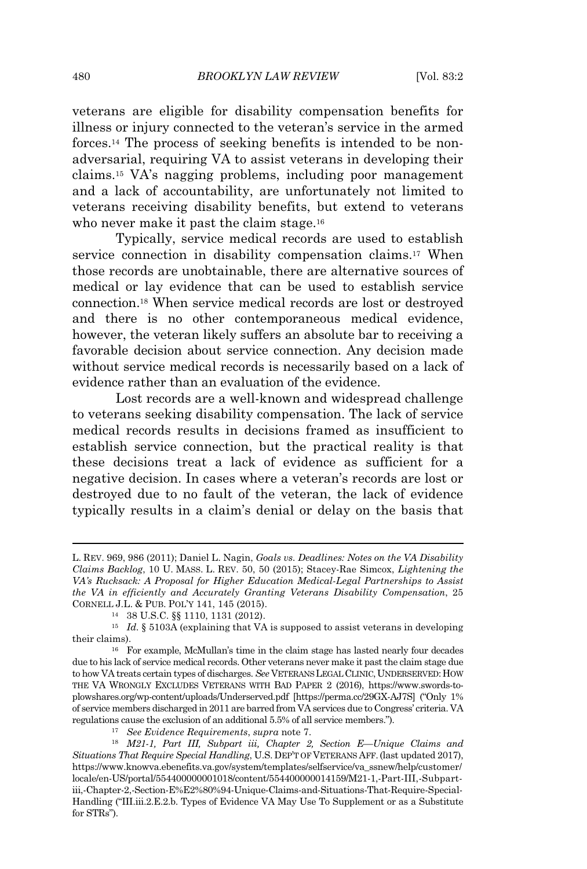veterans are eligible for disability compensation benefits for illness or injury connected to the veteran's service in the armed forces.<sup>14</sup> The process of seeking benefits is intended to be nonadversarial, requiring VA to assist veterans in developing their claims.<sup>15</sup> VA's nagging problems, including poor management and a lack of accountability, are unfortunately not limited to veterans receiving disability benefits, but extend to veterans who never make it past the claim stage.<sup>16</sup>

Typically, service medical records are used to establish service connection in disability compensation claims.<sup>17</sup> When those records are unobtainable, there are alternative sources of medical or lay evidence that can be used to establish service connection.<sup>18</sup> When service medical records are lost or destroyed and there is no other contemporaneous medical evidence, however, the veteran likely suffers an absolute bar to receiving a favorable decision about service connection. Any decision made without service medical records is necessarily based on a lack of evidence rather than an evaluation of the evidence.

Lost records are a well-known and widespread challenge to veterans seeking disability compensation. The lack of service medical records results in decisions framed as insufficient to establish service connection, but the practical reality is that these decisions treat a lack of evidence as sufficient for a negative decision. In cases where a veteran's records are lost or destroyed due to no fault of the veteran, the lack of evidence typically results in a claim's denial or delay on the basis that

L. REV. 969, 986 (2011); Daniel L. Nagin, *Goals vs. Deadlines: Notes on the VA Disability Claims Backlog*, 10 U. MASS. L. REV. 50, 50 (2015); Stacey-Rae Simcox, *Lightening the VA's Rucksack: A Proposal for Higher Education Medical-Legal Partnerships to Assist the VA in efficiently and Accurately Granting Veterans Disability Compensation*, 25 CORNELL J.L. & PUB. POL'Y 141, 145 (2015).

<sup>14</sup> 38 U.S.C. §§ 1110, 1131 (2012).

 $^{15}$   $\,$   $Id.$  § 5103A (explaining that VA is supposed to assist veterans in developing their claims).

<sup>16</sup> For example, McMullan's time in the claim stage has lasted nearly four decades due to his lack of service medical records. Other veterans never make it pastthe claim stage due to how VA treats certain types of discharges. *See* VETERANSLEGALCLINIC,UNDERSERVED:HOW THE VA WRONGLY EXCLUDES VETERANS WITH BAD PAPER 2 (2016), https://www.swords-toplowshares.org/wp-content/uploads/Underserved.pdf [https://perma.cc/29GX-AJ7S] ("Only 1% of service members discharged in 2011 are barred from VA services due to Congress' criteria. VA regulations cause the exclusion of an additional 5.5% of all service members.").

<sup>17</sup> *See Evidence Requirements*, *supra* note 7.

<sup>18</sup> *M21-1, Part III, Subpart iii, Chapter 2, Section E—Unique Claims and Situations That Require Special Handling*, U.S. DEP'T OF VETERANS AFF.(last updated 2017), https://www.knowva.ebenefits.va.gov/system/templates/selfservice/va\_ssnew/help/customer/ locale/en-US/portal/554400000001018/content/554400000014159/M21-1,-Part-III,-Subpartiii,-Chapter-2,-Section-E%E2%80%94-Unique-Claims-and-Situations-That-Require-Special-Handling ("III.iii.2.E.2.b. Types of Evidence VA May Use To Supplement or as a Substitute for STRs").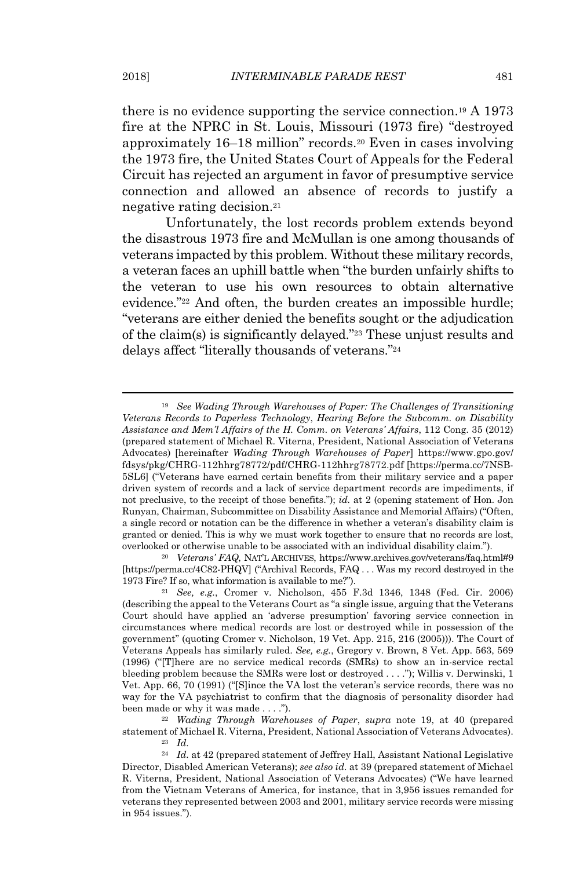there is no evidence supporting the service connection.<sup>19</sup> A 1973 fire at the NPRC in St. Louis, Missouri (1973 fire) "destroyed approximately 16–18 million" records.<sup>20</sup> Even in cases involving the 1973 fire, the United States Court of Appeals for the Federal Circuit has rejected an argument in favor of presumptive service connection and allowed an absence of records to justify a negative rating decision.<sup>21</sup>

Unfortunately, the lost records problem extends beyond the disastrous 1973 fire and McMullan is one among thousands of veterans impacted by this problem. Without these military records, a veteran faces an uphill battle when "the burden unfairly shifts to the veteran to use his own resources to obtain alternative evidence."<sup>22</sup> And often, the burden creates an impossible hurdle; "veterans are either denied the benefits sought or the adjudication of the claim(s) is significantly delayed."<sup>23</sup> These unjust results and delays affect "literally thousands of veterans."<sup>24</sup>

<sup>20</sup> *Veterans' FAQ*, NAT'L ARCHIVES, https://www.archives.gov/veterans/faq.html#9 [https://perma.cc/4C82-PHQV] ("Archival Records, FAQ . . . Was my record destroyed in the 1973 Fire? If so, what information is available to me?").

<sup>22</sup> *Wading Through Warehouses of Paper*, *supra* note 19, at 40 (prepared statement of Michael R. Viterna, President, National Association of Veterans Advocates). <sup>23</sup> *Id.*

<sup>19</sup> *See Wading Through Warehouses of Paper: The Challenges of Transitioning Veterans Records to Paperless Technology*, *Hearing Before the Subcomm. on Disability Assistance and Mem'l Affairs of the H. Comm. on Veterans' Affairs*, 112 Cong. 35 (2012) (prepared statement of Michael R. Viterna, President, National Association of Veterans Advocates) [hereinafter *Wading Through Warehouses of Paper*] https://www.gpo.gov/ fdsys/pkg/CHRG-112hhrg78772/pdf/CHRG-112hhrg78772.pdf [https://perma.cc/7NSB-5SL6] ("Veterans have earned certain benefits from their military service and a paper driven system of records and a lack of service department records are impediments, if not preclusive, to the receipt of those benefits."); *id.* at 2 (opening statement of Hon. Jon Runyan, Chairman, Subcommittee on Disability Assistance and Memorial Affairs) ("Often, a single record or notation can be the difference in whether a veteran's disability claim is granted or denied. This is why we must work together to ensure that no records are lost, overlooked or otherwise unable to be associated with an individual disability claim.").

<sup>21</sup> *See, e.g.*, Cromer v. Nicholson, 455 F.3d 1346, 1348 (Fed. Cir. 2006) (describing the appeal to the Veterans Court as "a single issue, arguing that the Veterans Court should have applied an 'adverse presumption' favoring service connection in circumstances where medical records are lost or destroyed while in possession of the government" (quoting Cromer v. Nicholson, 19 Vet. App. 215, 216 (2005))). The Court of Veterans Appeals has similarly ruled. *See, e.g.*, Gregory v. Brown, 8 Vet. App. 563, 569 (1996) ("[T]here are no service medical records (SMRs) to show an in-service rectal bleeding problem because the SMRs were lost or destroyed . . . ."); Willis v. Derwinski, 1 Vet. App. 66, 70 (1991) ("[S]ince the VA lost the veteran's service records, there was no way for the VA psychiatrist to confirm that the diagnosis of personality disorder had been made or why it was made . . . .").

<sup>24</sup> *Id.* at 42 (prepared statement of Jeffrey Hall, Assistant National Legislative Director, Disabled American Veterans); *see also id.* at 39 (prepared statement of Michael R. Viterna, President, National Association of Veterans Advocates) ("We have learned from the Vietnam Veterans of America, for instance, that in 3,956 issues remanded for veterans they represented between 2003 and 2001, military service records were missing in 954 issues.").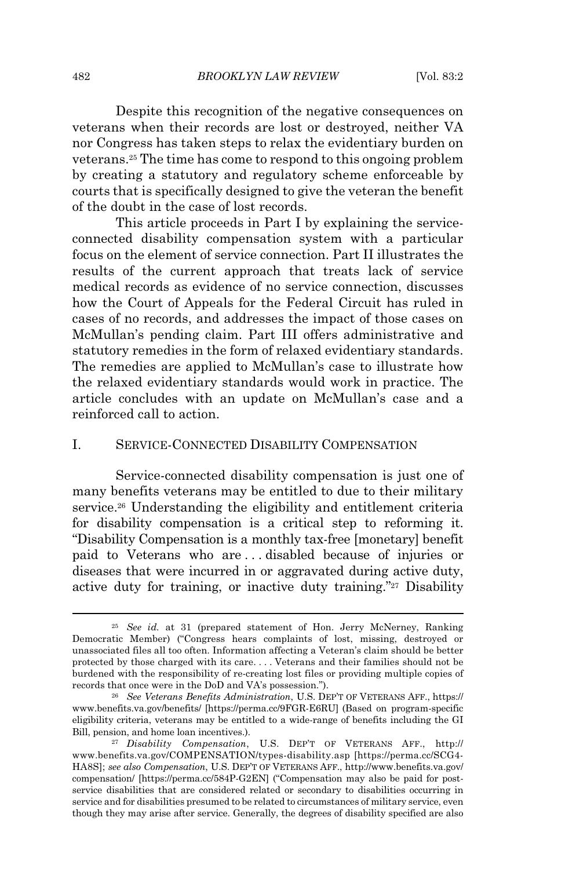Despite this recognition of the negative consequences on veterans when their records are lost or destroyed, neither VA nor Congress has taken steps to relax the evidentiary burden on veterans.<sup>25</sup> The time has come to respond to this ongoing problem by creating a statutory and regulatory scheme enforceable by courts that is specifically designed to give the veteran the benefit of the doubt in the case of lost records.

This article proceeds in Part I by explaining the serviceconnected disability compensation system with a particular focus on the element of service connection. Part II illustrates the results of the current approach that treats lack of service medical records as evidence of no service connection, discusses how the Court of Appeals for the Federal Circuit has ruled in cases of no records, and addresses the impact of those cases on McMullan's pending claim. Part III offers administrative and statutory remedies in the form of relaxed evidentiary standards. The remedies are applied to McMullan's case to illustrate how the relaxed evidentiary standards would work in practice. The article concludes with an update on McMullan's case and a reinforced call to action.

## I. SERVICE-CONNECTED DISABILITY COMPENSATION

Service-connected disability compensation is just one of many benefits veterans may be entitled to due to their military service.<sup>26</sup> Understanding the eligibility and entitlement criteria for disability compensation is a critical step to reforming it. "Disability Compensation is a monthly tax-free [monetary] benefit paid to Veterans who are . . . disabled because of injuries or diseases that were incurred in or aggravated during active duty, active duty for training, or inactive duty training."<sup>27</sup> Disability

<sup>25</sup> *See id.* at 31 (prepared statement of Hon. Jerry McNerney, Ranking Democratic Member) ("Congress hears complaints of lost, missing, destroyed or unassociated files all too often. Information affecting a Veteran's claim should be better protected by those charged with its care. . . . Veterans and their families should not be burdened with the responsibility of re-creating lost files or providing multiple copies of records that once were in the DoD and VA's possession.").

<sup>26</sup> *See Veterans Benefits Administration*, U.S. DEP'T OF VETERANS AFF., https:// www.benefits.va.gov/benefits/ [https://perma.cc/9FGR-E6RU] (Based on program-specific eligibility criteria, veterans may be entitled to a wide-range of benefits including the GI Bill, pension, and home loan incentives.).

<sup>27</sup> *Disability Compensation*, U.S. DEP'T OF VETERANS AFF., http:// www.benefits.va.gov/COMPENSATION/types-disability.asp [https://perma.cc/SCG4- HA8S]; *see also Compensation*, U.S. DEP'T OF VETERANS AFF., http://www.benefits.va.gov/ compensation/ [https://perma.cc/584P-G2EN] ("Compensation may also be paid for postservice disabilities that are considered related or secondary to disabilities occurring in service and for disabilities presumed to be related to circumstances of military service, even though they may arise after service. Generally, the degrees of disability specified are also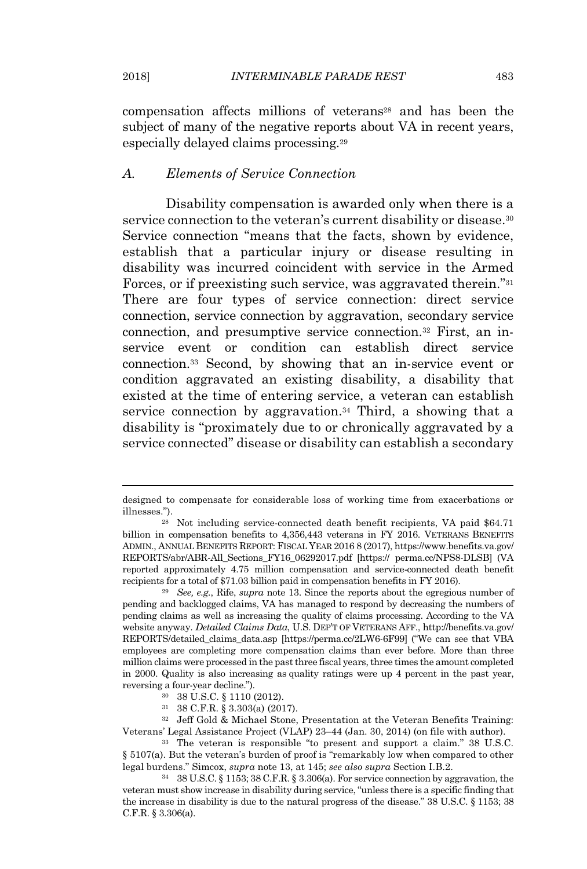compensation affects millions of veterans<sup>28</sup> and has been the subject of many of the negative reports about VA in recent years, especially delayed claims processing.<sup>29</sup>

### *A. Elements of Service Connection*

Disability compensation is awarded only when there is a service connection to the veteran's current disability or disease.<sup>30</sup> Service connection "means that the facts, shown by evidence, establish that a particular injury or disease resulting in disability was incurred coincident with service in the Armed Forces, or if preexisting such service, was aggravated therein."<sup>31</sup> There are four types of service connection: direct service connection, service connection by aggravation, secondary service connection, and presumptive service connection.<sup>32</sup> First, an inservice event or condition can establish direct service connection.<sup>33</sup> Second, by showing that an in-service event or condition aggravated an existing disability, a disability that existed at the time of entering service, a veteran can establish service connection by aggravation.<sup>34</sup> Third, a showing that a disability is "proximately due to or chronically aggravated by a service connected" disease or disability can establish a secondary

designed to compensate for considerable loss of working time from exacerbations or illnesses.").

<sup>28</sup> Not including service-connected death benefit recipients, VA paid \$64.71 billion in compensation benefits to 4,356,443 veterans in FY 2016. VETERANS BENEFITS ADMIN., ANNUAL BENEFITS REPORT: FISCAL YEAR 2016 8 (2017), https://www.benefits.va.gov/ REPORTS/abr/ABR-All\_Sections\_FY16\_06292017.pdf [https:// perma.cc/NPS8-DLSB] (VA reported approximately 4.75 million compensation and service-connected death benefit recipients for a total of \$71.03 billion paid in compensation benefits in FY 2016).

<sup>29</sup> *See, e.g.*, Rife, *supra* note 13. Since the reports about the egregious number of pending and backlogged claims, VA has managed to respond by decreasing the numbers of pending claims as well as increasing the quality of claims processing. According to the VA website anyway. *Detailed Claims Data*, U.S. DEP'T OF VETERANS AFF., http://benefits.va.gov/ REPORTS/detailed\_claims\_data.asp [https://perma.cc/2LW6-6F99] ("We can see that VBA employees are completing more compensation claims than ever before. More than three million claims were processed in the past three fiscal years, three times the amount completed in 2000. Quality is also increasing as quality ratings were up 4 percent in the past year, reversing a four-year decline.").

<sup>30</sup> 38 U.S.C. § 1110 (2012).

<sup>31</sup> 38 C.F.R. § 3.303(a) (2017).

<sup>32</sup> Jeff Gold & Michael Stone, Presentation at the Veteran Benefits Training: Veterans' Legal Assistance Project (VLAP) 23–44 (Jan. 30, 2014) (on file with author).

<sup>33</sup> The veteran is responsible "to present and support a claim." 38 U.S.C. § 5107(a). But the veteran's burden of proof is "remarkably low when compared to other legal burdens." Simcox, *supra* note 13, at 145; *see also supra* Section I.B.2.

<sup>34</sup> 38 U.S.C. § 1153; 38 C.F.R. § 3.306(a). For service connection by aggravation, the veteran must show increase in disability during service, "unless there is a specific finding that the increase in disability is due to the natural progress of the disease." 38 U.S.C. § 1153; 38 C.F.R. § 3.306(a).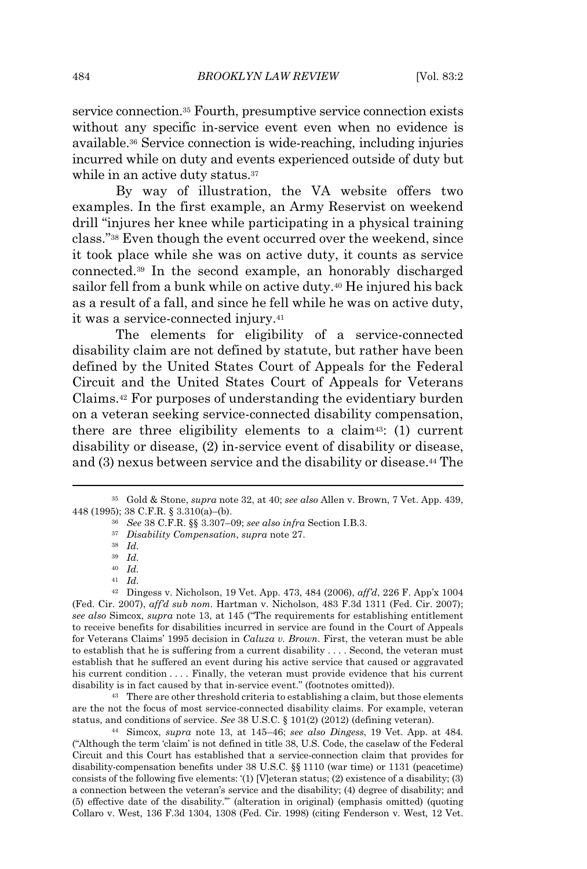service connection.<sup>35</sup> Fourth, presumptive service connection exists without any specific in-service event even when no evidence is available.<sup>36</sup> Service connection is wide-reaching, including injuries incurred while on duty and events experienced outside of duty but while in an active duty status.<sup>37</sup>

By way of illustration, the VA website offers two examples. In the first example, an Army Reservist on weekend drill "injures her knee while participating in a physical training class."<sup>38</sup> Even though the event occurred over the weekend, since it took place while she was on active duty, it counts as service connected.<sup>39</sup> In the second example, an honorably discharged sailor fell from a bunk while on active duty.<sup>40</sup> He injured his back as a result of a fall, and since he fell while he was on active duty, it was a service-connected injury.<sup>41</sup>

The elements for eligibility of a service-connected disability claim are not defined by statute, but rather have been defined by the United States Court of Appeals for the Federal Circuit and the United States Court of Appeals for Veterans Claims.<sup>42</sup> For purposes of understanding the evidentiary burden on a veteran seeking service-connected disability compensation, there are three eligibility elements to a claim<sup>43</sup>: (1) current disability or disease, (2) in-service event of disability or disease, and (3) nexus between service and the disability or disease.<sup>44</sup> The

<sup>42</sup> Dingess v. Nicholson, 19 Vet. App. 473, 484 (2006), *aff'd*, 226 F. App'x 1004 (Fed. Cir. 2007), *aff'd sub nom.* Hartman v. Nicholson, 483 F.3d 1311 (Fed. Cir. 2007); *see also* Simcox, *supra* note 13, at 145 ("The requirements for establishing entitlement to receive benefits for disabilities incurred in service are found in the Court of Appeals for Veterans Claims' 1995 decision in *Caluza v. Brown*. First, the veteran must be able to establish that he is suffering from a current disability . . . . Second, the veteran must establish that he suffered an event during his active service that caused or aggravated his current condition . . . . Finally, the veteran must provide evidence that his current disability is in fact caused by that in-service event." (footnotes omitted)).

<sup>43</sup> There are other threshold criteria to establishing a claim, but those elements are the not the focus of most service-connected disability claims. For example, veteran status, and conditions of service. *See* 38 U.S.C. § 101(2) (2012) (defining veteran).

<sup>44</sup> Simcox, *supra* note 13, at 145–46; *see also Dingess*, 19 Vet. App. at 484*.* ("Although the term 'claim' is not defined in title 38, U.S. Code, the caselaw of the Federal Circuit and this Court has established that a service-connection claim that provides for disability-compensation benefits under 38 U.S.C. §§ 1110 (war time) or 1131 (peacetime) consists of the following five elements:  $(1)$  [V] eteran status; (2) existence of a disability; (3) a connection between the veteran's service and the disability; (4) degree of disability; and (5) effective date of the disability.'" (alteration in original) (emphasis omitted) (quoting Collaro v. West*,* 136 F.3d 1304, 1308 (Fed. Cir. 1998) (citing Fenderson v. West*,* 12 Vet.

<sup>35</sup> Gold & Stone, *supra* note 32, at 40; *see also* Allen v. Brown, 7 Vet. App. 439, 448 (1995); 38 C.F.R. § 3.310(a)–(b).

<sup>36</sup> *See* 38 C.F.R. §§ 3.307–09; *see also infra* Section I.B.3.

<sup>37</sup> *Disability Compensation*, *supra* note 27.

<sup>38</sup> *Id.*

<sup>39</sup> *Id.*

<sup>40</sup> *Id.*

<sup>41</sup> *Id.*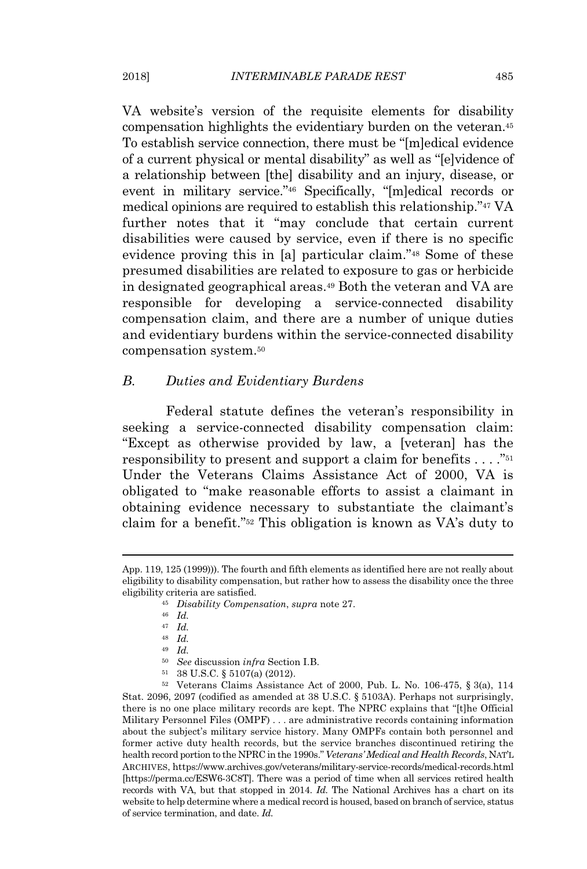VA website's version of the requisite elements for disability compensation highlights the evidentiary burden on the veteran.<sup>45</sup> To establish service connection, there must be "[m]edical evidence of a current physical or mental disability" as well as "[e]vidence of a relationship between [the] disability and an injury, disease, or event in military service."<sup>46</sup> Specifically, "[m]edical records or medical opinions are required to establish this relationship."<sup>47</sup> VA further notes that it "may conclude that certain current disabilities were caused by service, even if there is no specific evidence proving this in [a] particular claim."<sup>48</sup> Some of these presumed disabilities are related to exposure to gas or herbicide in designated geographical areas.<sup>49</sup> Both the veteran and VA are responsible for developing a service-connected disability compensation claim, and there are a number of unique duties and evidentiary burdens within the service-connected disability compensation system.<sup>50</sup>

### *B. Duties and Evidentiary Burdens*

Federal statute defines the veteran's responsibility in seeking a service-connected disability compensation claim: "Except as otherwise provided by law, a [veteran] has the responsibility to present and support a claim for benefits  $\dots$ ."<sup>51</sup> Under the Veterans Claims Assistance Act of 2000, VA is obligated to "make reasonable efforts to assist a claimant in obtaining evidence necessary to substantiate the claimant's claim for a benefit."<sup>52</sup> This obligation is known as VA's duty to

<sup>51</sup> 38 U.S.C. § 5107(a) (2012).

<sup>52</sup> Veterans Claims Assistance Act of 2000, Pub. L. No. 106-475, § 3(a), 114 Stat. 2096, 2097 (codified as amended at 38 U.S.C. § 5103A). Perhaps not surprisingly, there is no one place military records are kept. The NPRC explains that "[t]he Official Military Personnel Files (OMPF) . . . are administrative records containing information about the subject's military service history. Many OMPFs contain both personnel and former active duty health records, but the service branches discontinued retiring the health record portion to the NPRC in the 1990s." *Veterans' Medical and Health Records*, NAT'L ARCHIVES, https://www.archives.gov/veterans/military-service-records/medical-records.html [https://perma.cc/ESW6-3C8T]. There was a period of time when all services retired health records with VA, but that stopped in 2014. *Id.* The National Archives has a chart on its website to help determine where a medical record is housed, based on branch of service, status of service termination, and date. *Id.*

App. 119, 125 (1999))). The fourth and fifth elements as identified here are not really about eligibility to disability compensation, but rather how to assess the disability once the three eligibility criteria are satisfied.

<sup>45</sup> *Disability Compensation*, *supra* note 27.

<sup>46</sup> *Id.*

<sup>47</sup> *Id.*

<sup>48</sup> *Id.*

<sup>49</sup> *Id.*

<sup>50</sup> *See* discussion *infra* Section I.B.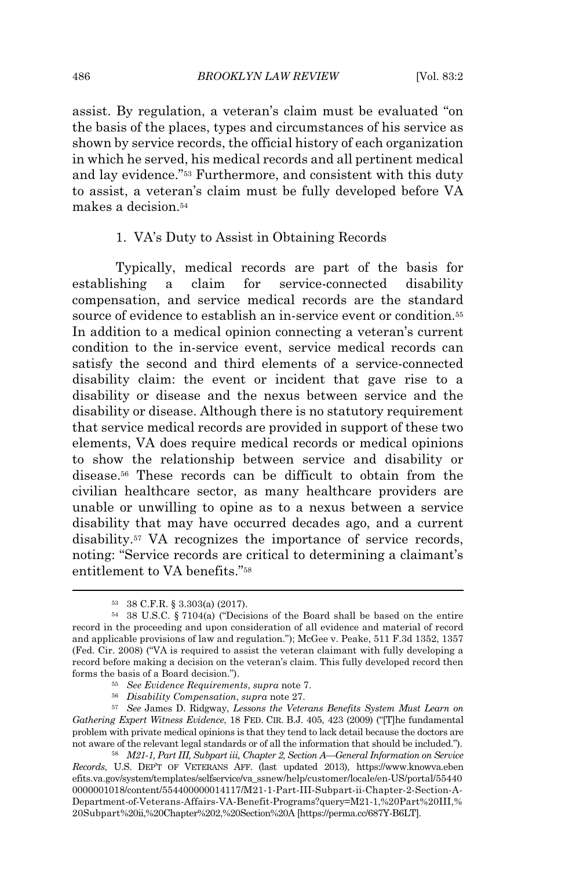assist. By regulation, a veteran's claim must be evaluated "on the basis of the places, types and circumstances of his service as shown by service records, the official history of each organization in which he served, his medical records and all pertinent medical and lay evidence."<sup>53</sup> Furthermore, and consistent with this duty to assist, a veteran's claim must be fully developed before VA makes a decision  $54$ 

#### 1. VA's Duty to Assist in Obtaining Records

Typically, medical records are part of the basis for establishing a claim for service-connected disability compensation, and service medical records are the standard source of evidence to establish an in-service event or condition.<sup>55</sup> In addition to a medical opinion connecting a veteran's current condition to the in-service event, service medical records can satisfy the second and third elements of a service-connected disability claim: the event or incident that gave rise to a disability or disease and the nexus between service and the disability or disease. Although there is no statutory requirement that service medical records are provided in support of these two elements, VA does require medical records or medical opinions to show the relationship between service and disability or disease.<sup>56</sup> These records can be difficult to obtain from the civilian healthcare sector, as many healthcare providers are unable or unwilling to opine as to a nexus between a service disability that may have occurred decades ago, and a current disability.<sup>57</sup> VA recognizes the importance of service records, noting: "Service records are critical to determining a claimant's entitlement to VA benefits."<sup>58</sup>

- <sup>55</sup> *See Evidence Requirements*, *supra* note 7.
- <sup>56</sup> *Disability Compensation*, *supra* note 27.

<sup>57</sup> *See* James D. Ridgway, *Lessons the Veterans Benefits System Must Learn on Gathering Expert Witness Evidence*, 18 FED. CIR. B.J. 405, 423 (2009) ("[T]he fundamental problem with private medical opinions is that they tend to lack detail because the doctors are not aware of the relevant legal standards or of all the information that should be included.").

<sup>58</sup> *M21-1, Part III, Subpart iii, Chapter 2, Section A—General Information on Service Records*, U.S. DEP'T OF VETERANS AFF. (last updated 2013), https://www.knowva.eben efits.va.gov/system/templates/selfservice/va\_ssnew/help/customer/locale/en-US/portal/55440 0000001018/content/554400000014117/M21-1-Part-III-Subpart-ii-Chapter-2-Section-A-Department-of-Veterans-Affairs-VA-Benefit-Programs?query=M21-1,%20Part%20III,% 20Subpart%20ii,%20Chapter%202,%20Section%20A [https://perma.cc/687Y-B6LT].

<sup>53</sup> 38 C.F.R. § 3.303(a) (2017).

<sup>54</sup> 38 U.S.C. § 7104(a) ("Decisions of the Board shall be based on the entire record in the proceeding and upon consideration of all evidence and material of record and applicable provisions of law and regulation."); McGee v. Peake, 511 F.3d 1352, 1357 (Fed. Cir. 2008) ("VA is required to assist the veteran claimant with fully developing a record before making a decision on the veteran's claim. This fully developed record then forms the basis of a Board decision.").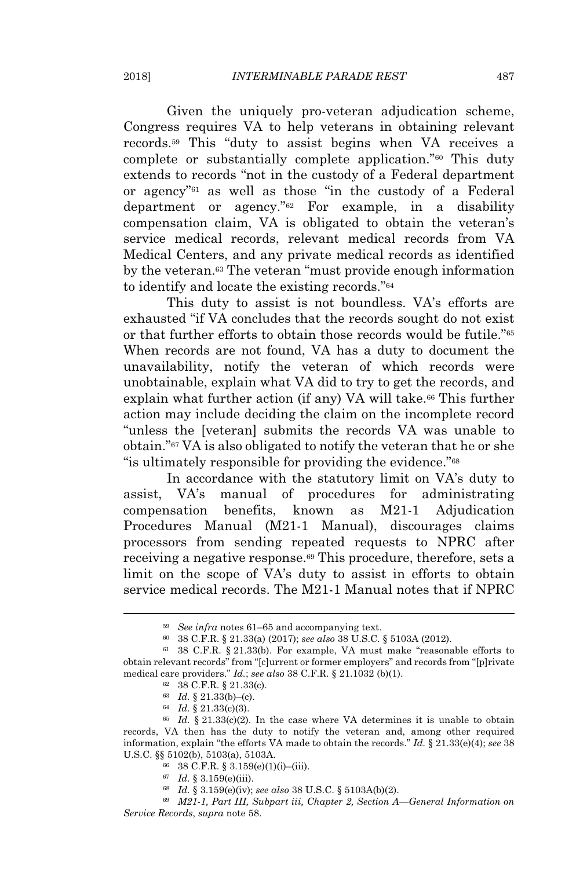Given the uniquely pro-veteran adjudication scheme, Congress requires VA to help veterans in obtaining relevant records.<sup>59</sup> This "duty to assist begins when VA receives a complete or substantially complete application."<sup>60</sup> This duty extends to records "not in the custody of a Federal department or agency"<sup>61</sup> as well as those "in the custody of a Federal department or agency."<sup>62</sup> For example, in a disability compensation claim, VA is obligated to obtain the veteran's service medical records, relevant medical records from VA Medical Centers, and any private medical records as identified by the veteran.<sup>63</sup> The veteran "must provide enough information" to identify and locate the existing records."<sup>64</sup>

This duty to assist is not boundless. VA's efforts are exhausted "if VA concludes that the records sought do not exist or that further efforts to obtain those records would be futile."<sup>65</sup> When records are not found, VA has a duty to document the unavailability, notify the veteran of which records were unobtainable, explain what VA did to try to get the records, and explain what further action (if any) VA will take.<sup>66</sup> This further action may include deciding the claim on the incomplete record "unless the [veteran] submits the records VA was unable to obtain."<sup>67</sup> VA is also obligated to notify the veteran that he or she "is ultimately responsible for providing the evidence."<sup>68</sup>

In accordance with the statutory limit on VA's duty to assist, VA's manual of procedures for administrating compensation benefits, known as M21-1 Adjudication Procedures Manual (M21-1 Manual), discourages claims processors from sending repeated requests to NPRC after receiving a negative response.<sup>69</sup> This procedure, therefore, sets a limit on the scope of VA's duty to assist in efforts to obtain service medical records. The M21-1 Manual notes that if NPRC

<sup>68</sup> *Id.* § 3.159(e)(iv); *see also* 38 U.S.C. § 5103A(b)(2).

<sup>69</sup> *M21-1, Part III, Subpart iii, Chapter 2, Section A—General Information on Service Records*, *supra* note 58.

<sup>59</sup> *See infra* notes 61–65 and accompanying text.

<sup>60</sup> 38 C.F.R. § 21.33(a) (2017); *see also* 38 U.S.C. § 5103A (2012).

<sup>61</sup> 38 C.F.R. § 21.33(b). For example, VA must make "reasonable efforts to obtain relevant records" from "[c]urrent or former employers" and records from "[p]rivate medical care providers." *Id.*; *see also* 38 C.F.R. § 21.1032 (b)(1).

<sup>62</sup> 38 C.F.R. § 21.33(c).

<sup>63</sup> *Id.* § 21.33(b)–(c).

<sup>64</sup> *Id.* § 21.33(c)(3).

 $65$  *Id.*  $\frac{1}{2}$  21.33(c)(2). In the case where VA determines it is unable to obtain records, VA then has the duty to notify the veteran and, among other required information, explain "the efforts VA made to obtain the records." *Id.* § 21.33(e)(4); *see* 38 U.S.C. §§ 5102(b), 5103(a), 5103A.

<sup>66</sup> 38 C.F.R. § 3.159(e)(1)(i)–(iii).

<sup>67</sup> *Id.* § 3.159(e)(iii).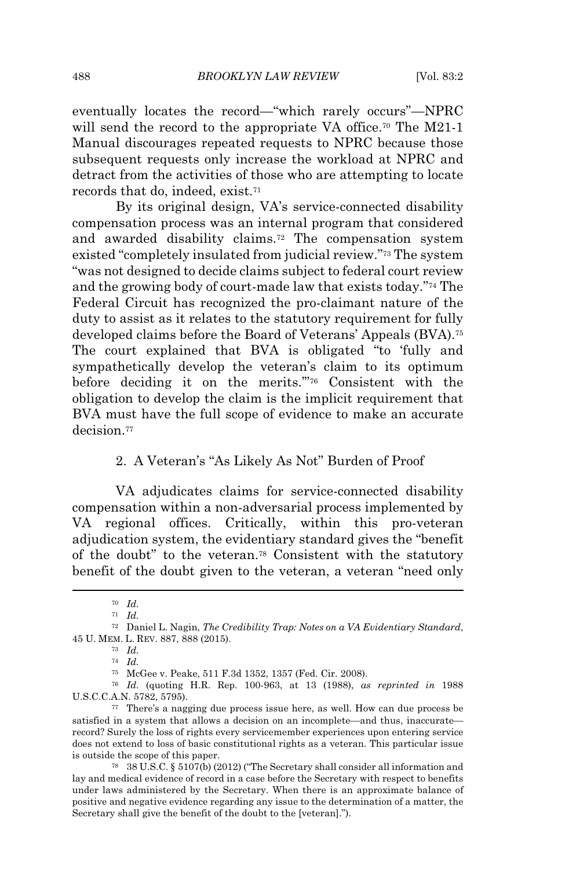eventually locates the record—"which rarely occurs"—NPRC will send the record to the appropriate VA office.<sup>70</sup> The M21-1 Manual discourages repeated requests to NPRC because those subsequent requests only increase the workload at NPRC and detract from the activities of those who are attempting to locate records that do, indeed, exist.<sup>71</sup>

By its original design, VA's service-connected disability compensation process was an internal program that considered and awarded disability claims.<sup>72</sup> The compensation system existed "completely insulated from judicial review."<sup>73</sup> The system "was not designed to decide claims subject to federal court review and the growing body of court-made law that exists today."<sup>74</sup> The Federal Circuit has recognized the pro-claimant nature of the duty to assist as it relates to the statutory requirement for fully developed claims before the Board of Veterans' Appeals (BVA).<sup>75</sup> The court explained that BVA is obligated "to 'fully and sympathetically develop the veteran's claim to its optimum before deciding it on the merits.'"<sup>76</sup> Consistent with the obligation to develop the claim is the implicit requirement that BVA must have the full scope of evidence to make an accurate decision<sup>77</sup>

### 2. A Veteran's "As Likely As Not" Burden of Proof

VA adjudicates claims for service-connected disability compensation within a non-adversarial process implemented by VA regional offices. Critically, within this pro-veteran adjudication system, the evidentiary standard gives the "benefit of the doubt" to the veteran.<sup>78</sup> Consistent with the statutory benefit of the doubt given to the veteran, a veteran "need only

<sup>78</sup> 38 U.S.C. § 5107(b) (2012) ("The Secretary shall consider all information and lay and medical evidence of record in a case before the Secretary with respect to benefits under laws administered by the Secretary. When there is an approximate balance of positive and negative evidence regarding any issue to the determination of a matter, the Secretary shall give the benefit of the doubt to the [veteran].").

<sup>70</sup> *Id.*

<sup>71</sup> *Id.*

<sup>72</sup> Daniel L. Nagin, *The Credibility Trap: Notes on a VA Evidentiary Standard*, 45 U. MEM. L. REV. 887, 888 (2015).

<sup>73</sup> *Id.*

<sup>74</sup> *Id.*

<sup>75</sup> McGee v. Peake, 511 F.3d 1352, 1357 (Fed. Cir. 2008).

<sup>76</sup> *Id.* (quoting H.R. Rep. 100-963, at 13 (1988), *as reprinted in* 1988 U.S.C.C.A.N. 5782, 5795).

<sup>77</sup> There's a nagging due process issue here, as well. How can due process be satisfied in a system that allows a decision on an incomplete—and thus, inaccurate record? Surely the loss of rights every servicemember experiences upon entering service does not extend to loss of basic constitutional rights as a veteran. This particular issue is outside the scope of this paper.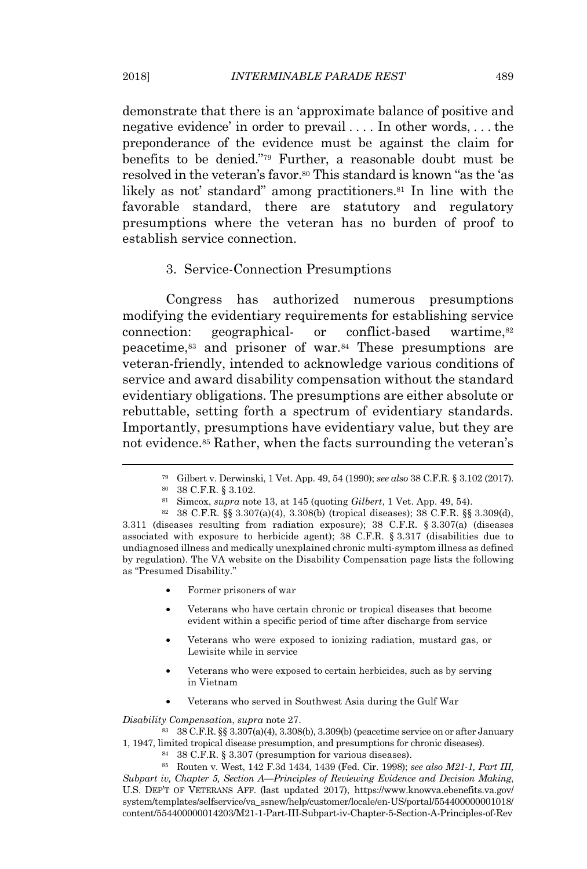demonstrate that there is an 'approximate balance of positive and negative evidence' in order to prevail . . . . In other words, . . . the preponderance of the evidence must be against the claim for benefits to be denied."<sup>79</sup> Further, a reasonable doubt must be resolved in the veteran's favor.<sup>80</sup> This standard is known "as the 'as likely as not' standard" among practitioners.<sup>81</sup> In line with the favorable standard, there are statutory and regulatory presumptions where the veteran has no burden of proof to establish service connection.

## 3. Service-Connection Presumptions

Congress has authorized numerous presumptions modifying the evidentiary requirements for establishing service connection: geographical- or conflict-based wartime, $82$ peacetime,<sup>83</sup> and prisoner of war.<sup>84</sup> These presumptions are veteran-friendly, intended to acknowledge various conditions of service and award disability compensation without the standard evidentiary obligations. The presumptions are either absolute or rebuttable, setting forth a spectrum of evidentiary standards. Importantly, presumptions have evidentiary value, but they are not evidence.<sup>85</sup> Rather, when the facts surrounding the veteran's

- Former prisoners of war
- Veterans who have certain chronic or tropical diseases that become evident within a specific period of time after discharge from service
- Veterans who were exposed to ionizing radiation, mustard gas, or Lewisite while in service
- Veterans who were exposed to certain herbicides, such as by serving in Vietnam
- Veterans who served in Southwest Asia during the Gulf War

*Disability Compensation*, *supra* note 27.

<sup>83</sup> 38 C.F.R. §§ 3.307(a)(4), 3.308(b), 3.309(b) (peacetime service on or after January 1, 1947, limited tropical disease presumption, and presumptions for chronic diseases).

<sup>84</sup> 38 C.F.R. § 3.307 (presumption for various diseases).

<sup>85</sup> Routen v. West, 142 F.3d 1434, 1439 (Fed. Cir. 1998); *see also M21-1, Part III, Subpart iv, Chapter 5, Section A—Principles of Reviewing Evidence and Decision Making*, U.S. DEP'T OF VETERANS AFF. (last updated 2017), https://www.knowva.ebenefits.va.gov/ system/templates/selfservice/va\_ssnew/help/customer/locale/en-US/portal/554400000001018/ content/554400000014203/M21-1-Part-III-Subpart-iv-Chapter-5-Section-A-Principles-of-Rev

<sup>79</sup> Gilbert v. Derwinski, 1 Vet. App. 49, 54 (1990); *see also* 38 C.F.R. § 3.102 (2017).

<sup>80</sup> 38 C.F.R. § 3.102.

<sup>81</sup> Simcox, *supra* note 13, at 145 (quoting *Gilbert*, 1 Vet. App. 49, 54).

<sup>82</sup> 38 C.F.R. §§ 3.307(a)(4), 3.308(b) (tropical diseases); 38 C.F.R. §§ 3.309(d), 3.311 (diseases resulting from radiation exposure); 38 C.F.R. § 3.307(a) (diseases associated with exposure to herbicide agent); 38 C.F.R. § 3.317 (disabilities due to undiagnosed illness and medically unexplained chronic multi-symptom illness as defined by regulation). The VA website on the Disability Compensation page lists the following as "Presumed Disability."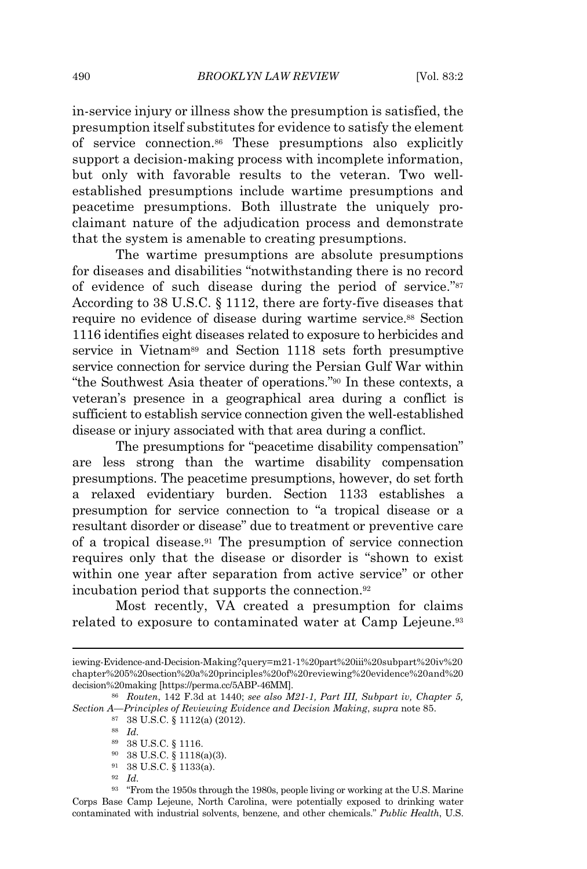in-service injury or illness show the presumption is satisfied, the presumption itself substitutes for evidence to satisfy the element of service connection.<sup>86</sup> These presumptions also explicitly support a decision-making process with incomplete information, but only with favorable results to the veteran. Two wellestablished presumptions include wartime presumptions and peacetime presumptions. Both illustrate the uniquely proclaimant nature of the adjudication process and demonstrate that the system is amenable to creating presumptions.

The wartime presumptions are absolute presumptions for diseases and disabilities "notwithstanding there is no record of evidence of such disease during the period of service."<sup>87</sup> According to 38 U.S.C. § 1112, there are forty-five diseases that require no evidence of disease during wartime service.<sup>88</sup> Section 1116 identifies eight diseases related to exposure to herbicides and service in Vietnam<sup>89</sup> and Section 1118 sets forth presumptive service connection for service during the Persian Gulf War within "the Southwest Asia theater of operations."<sup>90</sup> In these contexts, a veteran's presence in a geographical area during a conflict is sufficient to establish service connection given the well-established disease or injury associated with that area during a conflict.

The presumptions for "peacetime disability compensation" are less strong than the wartime disability compensation presumptions. The peacetime presumptions, however, do set forth a relaxed evidentiary burden. Section 1133 establishes a presumption for service connection to "a tropical disease or a resultant disorder or disease" due to treatment or preventive care of a tropical disease.<sup>91</sup> The presumption of service connection requires only that the disease or disorder is "shown to exist within one year after separation from active service" or other incubation period that supports the connection.<sup>92</sup>

Most recently, VA created a presumption for claims related to exposure to contaminated water at Camp Lejeune.<sup>93</sup>

- <sup>89</sup> 38 U.S.C. § 1116.
- <sup>90</sup> 38 U.S.C. § 1118(a)(3).
- <sup>91</sup> 38 U.S.C. § 1133(a).

iewing-Evidence-and-Decision-Making?query=m21-1%20part%20iii%20subpart%20iv%20 chapter%205%20section%20a%20principles%20of%20reviewing%20evidence%20and%20 decision%20making [https://perma.cc/5ABP-46MM].

<sup>86</sup> *Routen*, 142 F.3d at 1440; *see also M21-1, Part III, Subpart iv, Chapter 5, Section A—Principles of Reviewing Evidence and Decision Making*, *supra* note 85.

<sup>87</sup> 38 U.S.C. § 1112(a) (2012).

<sup>88</sup> *Id.*

<sup>92</sup> *Id.*

<sup>93</sup> "From the 1950s through the 1980s, people living or working at the U.S. Marine Corps Base Camp Lejeune, North Carolina, were potentially exposed to drinking water contaminated with industrial solvents, benzene, and other chemicals." *Public Health*, U.S.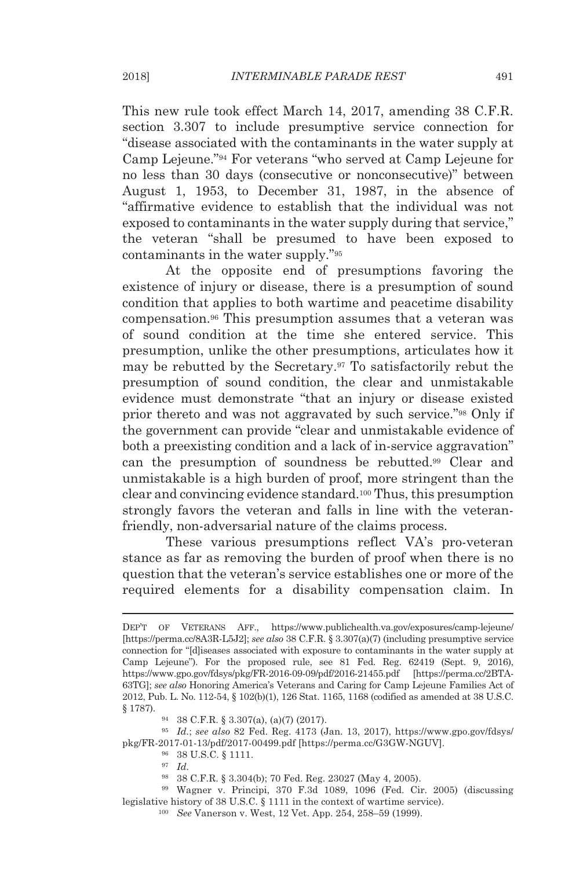This new rule took effect March 14, 2017, amending 38 C.F.R. section 3.307 to include presumptive service connection for "disease associated with the contaminants in the water supply at Camp Lejeune."<sup>94</sup> For veterans "who served at Camp Lejeune for no less than 30 days (consecutive or nonconsecutive)" between August 1, 1953, to December 31, 1987, in the absence of "affirmative evidence to establish that the individual was not exposed to contaminants in the water supply during that service," the veteran "shall be presumed to have been exposed to contaminants in the water supply."<sup>95</sup>

At the opposite end of presumptions favoring the existence of injury or disease, there is a presumption of sound condition that applies to both wartime and peacetime disability compensation.<sup>96</sup> This presumption assumes that a veteran was of sound condition at the time she entered service. This presumption, unlike the other presumptions, articulates how it may be rebutted by the Secretary.<sup>97</sup> To satisfactorily rebut the presumption of sound condition, the clear and unmistakable evidence must demonstrate "that an injury or disease existed prior thereto and was not aggravated by such service."<sup>98</sup> Only if the government can provide "clear and unmistakable evidence of both a preexisting condition and a lack of in-service aggravation" can the presumption of soundness be rebutted.<sup>99</sup> Clear and unmistakable is a high burden of proof, more stringent than the clear and convincing evidence standard.<sup>100</sup> Thus, this presumption strongly favors the veteran and falls in line with the veteranfriendly, non-adversarial nature of the claims process.

These various presumptions reflect VA's pro-veteran stance as far as removing the burden of proof when there is no question that the veteran's service establishes one or more of the required elements for a disability compensation claim. In

<sup>95</sup> *Id.*; *see also* 82 Fed. Reg. 4173 (Jan. 13, 2017), https://www.gpo.gov/fdsys/ pkg/FR-2017-01-13/pdf/2017-00499.pdf [https://perma.cc/G3GW-NGUV].

<sup>98</sup> 38 C.F.R. § 3.304(b); 70 Fed. Reg. 23027 (May 4, 2005).

<sup>99</sup> Wagner v. Principi, 370 F.3d 1089, 1096 (Fed. Cir. 2005) (discussing legislative history of 38 U.S.C. § 1111 in the context of wartime service).

DEP'T OF VETERANS AFF., https://www.publichealth.va.gov/exposures/camp-lejeune/ [https://perma.cc/8A3R-L5J2]; *see also* 38 C.F.R. § 3.307(a)(7) (including presumptive service connection for "[d]iseases associated with exposure to contaminants in the water supply at Camp Lejeune"). For the proposed rule, see 81 Fed. Reg. 62419 (Sept. 9, 2016), https://www.gpo.gov/fdsys/pkg/FR-2016-09-09/pdf/2016-21455.pdf [https://perma.cc/2BTA-63TG]; *see also* Honoring America's Veterans and Caring for Camp Lejeune Families Act of 2012, Pub. L. No. 112-54, § 102(b)(1), 126 Stat. 1165, 1168 (codified as amended at 38 U.S.C. § 1787).

<sup>94</sup> 38 C.F.R. § 3.307(a), (a)(7) (2017).

<sup>96</sup> 38 U.S.C. § 1111.

<sup>97</sup> *Id.*

<sup>100</sup> *See* Vanerson v. West, 12 Vet. App. 254, 258–59 (1999).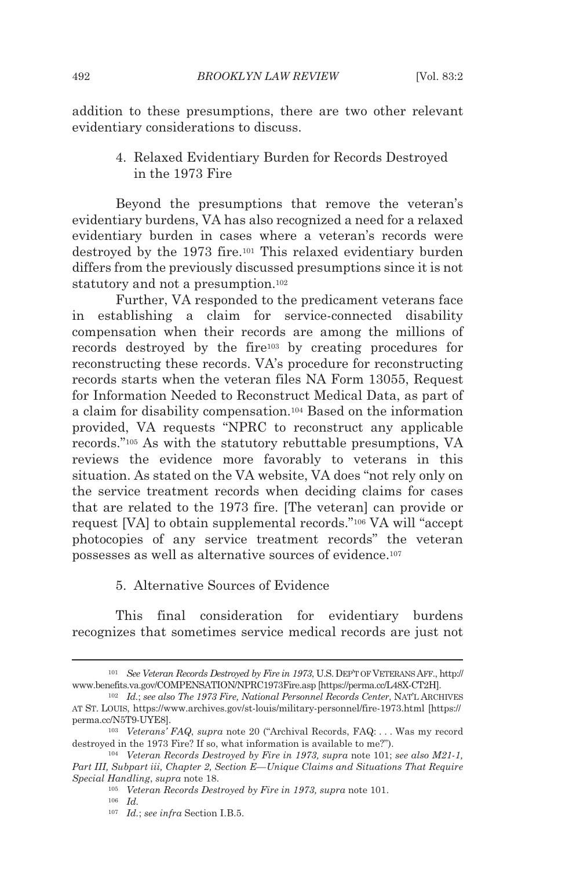addition to these presumptions, there are two other relevant evidentiary considerations to discuss.

> 4. Relaxed Evidentiary Burden for Records Destroyed in the 1973 Fire

Beyond the presumptions that remove the veteran's evidentiary burdens, VA has also recognized a need for a relaxed evidentiary burden in cases where a veteran's records were destroyed by the 1973 fire.<sup>101</sup> This relaxed evidentiary burden differs from the previously discussed presumptions since it is not statutory and not a presumption.<sup>102</sup>

Further, VA responded to the predicament veterans face in establishing a claim for service-connected disability compensation when their records are among the millions of records destroyed by the fire<sup>103</sup> by creating procedures for reconstructing these records. VA's procedure for reconstructing records starts when the veteran files NA Form 13055, Request for Information Needed to Reconstruct Medical Data, as part of a claim for disability compensation.<sup>104</sup> Based on the information provided, VA requests "NPRC to reconstruct any applicable records."<sup>105</sup> As with the statutory rebuttable presumptions, VA reviews the evidence more favorably to veterans in this situation. As stated on the VA website, VA does "not rely only on the service treatment records when deciding claims for cases that are related to the 1973 fire. [The veteran] can provide or request [VA] to obtain supplemental records."<sup>106</sup> VA will "accept photocopies of any service treatment records" the veteran possesses as well as alternative sources of evidence.<sup>107</sup>

5. Alternative Sources of Evidence

This final consideration for evidentiary burdens recognizes that sometimes service medical records are just not

<sup>101</sup> *See Veteran Records Destroyed by Fire in 1973*, U.S.DEP'T OFVETERANS AFF., http:// www.benefits.va.gov/COMPENSATION/NPRC1973Fire.asp [https://perma.cc/L48X-CT2H].

<sup>102</sup> *Id.*; *see also The 1973 Fire, National Personnel Records Center*, NAT'L ARCHIVES AT ST. LOUIS, https://www.archives.gov/st-louis/military-personnel/fire-1973.html [https:// perma.cc/N5T9-UYE8].

<sup>103</sup> *Veterans' FAQ*, *supra* note 20 ("Archival Records, FAQ: . . . Was my record destroyed in the 1973 Fire? If so, what information is available to me?").

<sup>104</sup> *Veteran Records Destroyed by Fire in 1973, supra* note 101; *see also M21-1, Part III, Subpart iii, Chapter 2, Section E—Unique Claims and Situations That Require Special Handling*, *supra* note 18.

<sup>105</sup> *Veteran Records Destroyed by Fire in 1973, supra* note 101.

<sup>106</sup> *Id.*

<sup>107</sup> *Id.*; *see infra* Section I.B.5.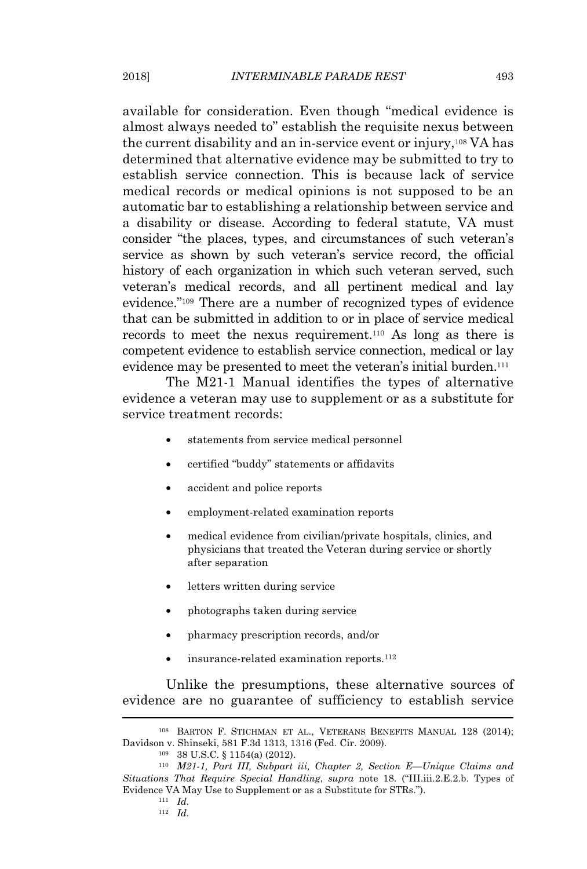available for consideration. Even though "medical evidence is almost always needed to" establish the requisite nexus between the current disability and an in-service event or injury,<sup>108</sup> VA has determined that alternative evidence may be submitted to try to establish service connection. This is because lack of service medical records or medical opinions is not supposed to be an automatic bar to establishing a relationship between service and a disability or disease. According to federal statute, VA must consider "the places, types, and circumstances of such veteran's service as shown by such veteran's service record, the official history of each organization in which such veteran served, such veteran's medical records, and all pertinent medical and lay evidence."<sup>109</sup> There are a number of recognized types of evidence that can be submitted in addition to or in place of service medical records to meet the nexus requirement.<sup>110</sup> As long as there is competent evidence to establish service connection, medical or lay evidence may be presented to meet the veteran's initial burden.<sup>111</sup>

The M21-1 Manual identifies the types of alternative evidence a veteran may use to supplement or as a substitute for service treatment records:

- statements from service medical personnel
- certified "buddy" statements or affidavits
- accident and police reports
- employment-related examination reports
- medical evidence from civilian/private hospitals, clinics, and physicians that treated the Veteran during service or shortly after separation
- letters written during service
- photographs taken during service
- pharmacy prescription records, and/or
- insurance-related examination reports.<sup>112</sup>

Unlike the presumptions, these alternative sources of evidence are no guarantee of sufficiency to establish service

<sup>108</sup> BARTON F. STICHMAN ET AL., VETERANS BENEFITS MANUAL 128 (2014); Davidson v. Shinseki, 581 F.3d 1313, 1316 (Fed. Cir. 2009).

<sup>109</sup> 38 U.S.C. § 1154(a) (2012).

<sup>110</sup> *M21-1, Part III, Subpart iii, Chapter 2, Section E—Unique Claims and Situations That Require Special Handling*, *supra* note 18. ("III.iii.2.E.2.b. Types of Evidence VA May Use to Supplement or as a Substitute for STRs.").

<sup>111</sup> *Id.*

<sup>112</sup> *Id.*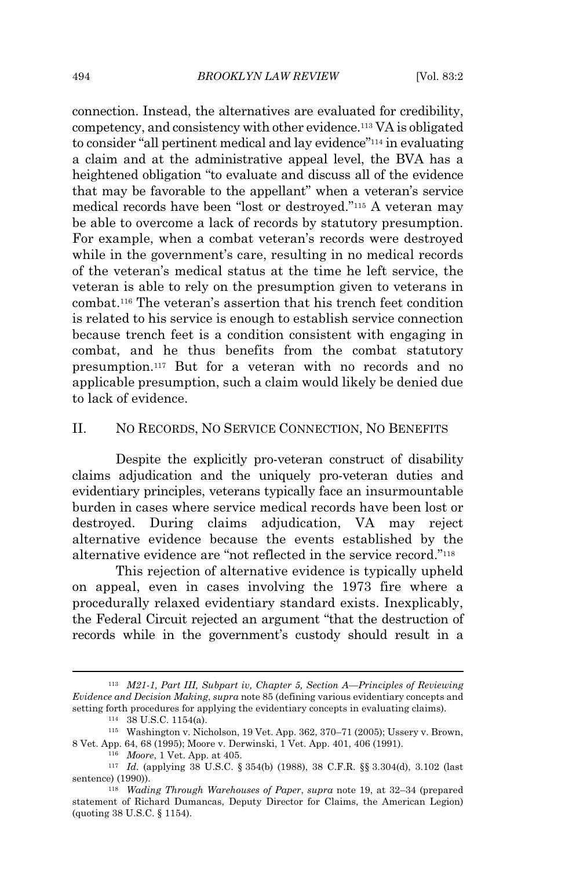connection. Instead, the alternatives are evaluated for credibility, competency, and consistency with other evidence.<sup>113</sup> VA is obligated to consider "all pertinent medical and lay evidence"<sup>114</sup> in evaluating a claim and at the administrative appeal level, the BVA has a heightened obligation "to evaluate and discuss all of the evidence that may be favorable to the appellant" when a veteran's service medical records have been "lost or destroyed."<sup>115</sup> A veteran may be able to overcome a lack of records by statutory presumption. For example, when a combat veteran's records were destroyed while in the government's care, resulting in no medical records of the veteran's medical status at the time he left service, the veteran is able to rely on the presumption given to veterans in combat.<sup>116</sup> The veteran's assertion that his trench feet condition is related to his service is enough to establish service connection because trench feet is a condition consistent with engaging in combat, and he thus benefits from the combat statutory presumption.<sup>117</sup> But for a veteran with no records and no applicable presumption, such a claim would likely be denied due to lack of evidence.

## II. NO RECORDS, NO SERVICE CONNECTION, NO BENEFITS

Despite the explicitly pro-veteran construct of disability claims adjudication and the uniquely pro-veteran duties and evidentiary principles, veterans typically face an insurmountable burden in cases where service medical records have been lost or destroyed. During claims adjudication, VA may reject alternative evidence because the events established by the alternative evidence are "not reflected in the service record."<sup>118</sup>

This rejection of alternative evidence is typically upheld on appeal, even in cases involving the 1973 fire where a procedurally relaxed evidentiary standard exists. Inexplicably, the Federal Circuit rejected an argument "that the destruction of records while in the government's custody should result in a

<sup>113</sup> *M21-1, Part III, Subpart iv, Chapter 5, Section A—Principles of Reviewing Evidence and Decision Making*, *supra* note 85 (defining various evidentiary concepts and setting forth procedures for applying the evidentiary concepts in evaluating claims).

<sup>114</sup> 38 U.S.C. 1154(a).

<sup>115</sup> Washington v. Nicholson, 19 Vet. App. 362, 370–71 (2005); Ussery v. Brown, 8 Vet. App. 64, 68 (1995); Moore v. Derwinski, 1 Vet. App. 401, 406 (1991).

<sup>116</sup> *Moore*, 1 Vet. App. at 405.

<sup>117</sup> *Id.* (applying 38 U.S.C. § 354(b) (1988), 38 C.F.R. §§ 3.304(d), 3.102 (last sentence) (1990)).

<sup>118</sup> *Wading Through Warehouses of Paper*, *supra* note 19, at 32–34 (prepared statement of Richard Dumancas, Deputy Director for Claims, the American Legion) (quoting 38 U.S.C. § 1154).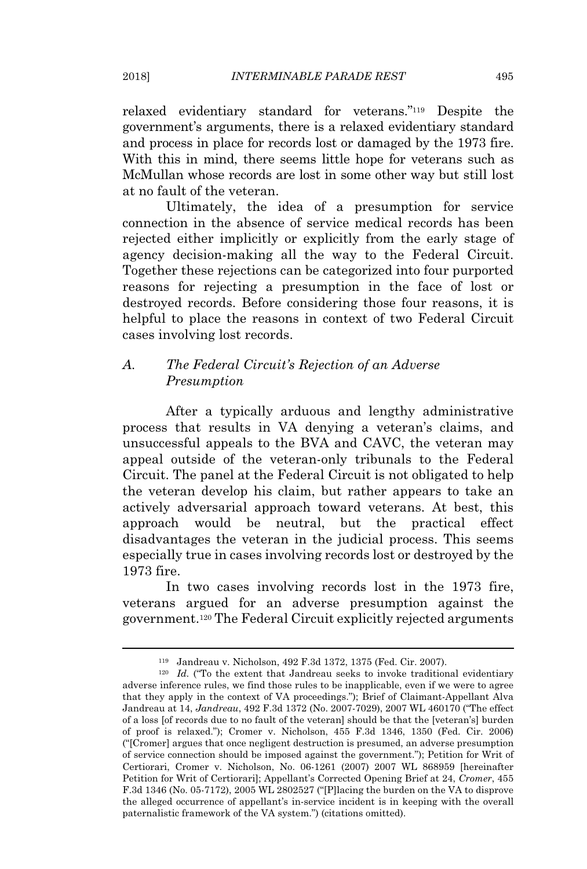relaxed evidentiary standard for veterans."<sup>119</sup> Despite the government's arguments, there is a relaxed evidentiary standard and process in place for records lost or damaged by the 1973 fire. With this in mind, there seems little hope for veterans such as McMullan whose records are lost in some other way but still lost at no fault of the veteran.

Ultimately, the idea of a presumption for service connection in the absence of service medical records has been rejected either implicitly or explicitly from the early stage of agency decision-making all the way to the Federal Circuit. Together these rejections can be categorized into four purported reasons for rejecting a presumption in the face of lost or destroyed records. Before considering those four reasons, it is helpful to place the reasons in context of two Federal Circuit cases involving lost records.

## *A. The Federal Circuit's Rejection of an Adverse Presumption*

After a typically arduous and lengthy administrative process that results in VA denying a veteran's claims, and unsuccessful appeals to the BVA and CAVC, the veteran may appeal outside of the veteran-only tribunals to the Federal Circuit. The panel at the Federal Circuit is not obligated to help the veteran develop his claim, but rather appears to take an actively adversarial approach toward veterans. At best, this approach would be neutral, but the practical effect disadvantages the veteran in the judicial process. This seems especially true in cases involving records lost or destroyed by the 1973 fire.

In two cases involving records lost in the 1973 fire, veterans argued for an adverse presumption against the government.<sup>120</sup> The Federal Circuit explicitly rejected arguments

<sup>119</sup> Jandreau v. Nicholson, 492 F.3d 1372, 1375 (Fed. Cir. 2007).

<sup>&</sup>lt;sup>120</sup> *Id.* ("To the extent that Jandreau seeks to invoke traditional evidentiary adverse inference rules, we find those rules to be inapplicable, even if we were to agree that they apply in the context of VA proceedings."); Brief of Claimant-Appellant Alva Jandreau at 14, *Jandreau*, 492 F.3d 1372 (No. 2007-7029), 2007 WL 460170 ("The effect of a loss [of records due to no fault of the veteran] should be that the [veteran's] burden of proof is relaxed."); Cromer v. Nicholson, 455 F.3d 1346, 1350 (Fed. Cir. 2006) ("[Cromer] argues that once negligent destruction is presumed, an adverse presumption of service connection should be imposed against the government."); Petition for Writ of Certiorari, Cromer v. Nicholson, No. 06-1261 (2007) 2007 WL 868959 [hereinafter Petition for Writ of Certiorari]; Appellant's Corrected Opening Brief at 24, *Cromer*, 455 F.3d 1346 (No. 05-7172), 2005 WL 2802527 ("[P]lacing the burden on the VA to disprove the alleged occurrence of appellant's in-service incident is in keeping with the overall paternalistic framework of the VA system.") (citations omitted).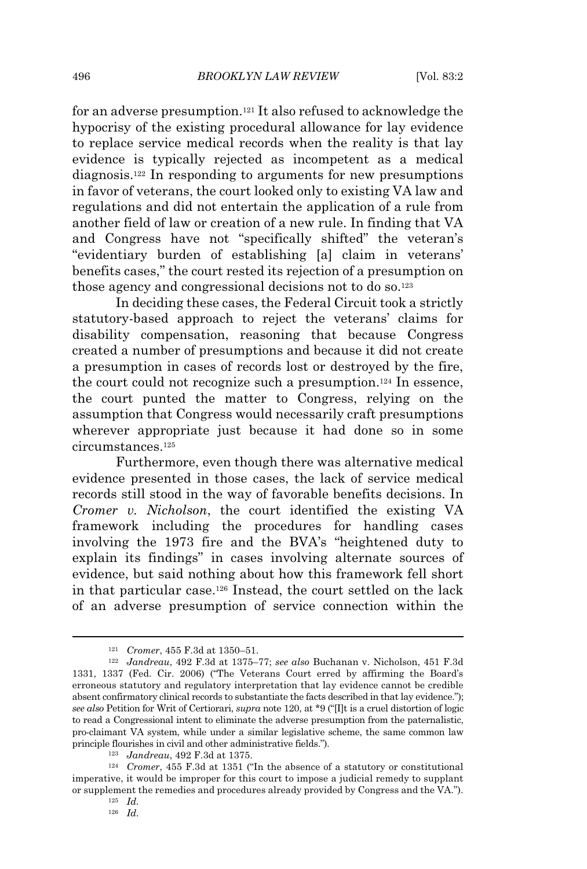for an adverse presumption.<sup>121</sup> It also refused to acknowledge the hypocrisy of the existing procedural allowance for lay evidence to replace service medical records when the reality is that lay evidence is typically rejected as incompetent as a medical diagnosis.<sup>122</sup> In responding to arguments for new presumptions in favor of veterans, the court looked only to existing VA law and regulations and did not entertain the application of a rule from another field of law or creation of a new rule. In finding that VA and Congress have not "specifically shifted" the veteran's "evidentiary burden of establishing [a] claim in veterans' benefits cases," the court rested its rejection of a presumption on those agency and congressional decisions not to do so.<sup>123</sup>

In deciding these cases, the Federal Circuit took a strictly statutory-based approach to reject the veterans' claims for disability compensation, reasoning that because Congress created a number of presumptions and because it did not create a presumption in cases of records lost or destroyed by the fire, the court could not recognize such a presumption.<sup>124</sup> In essence, the court punted the matter to Congress, relying on the assumption that Congress would necessarily craft presumptions wherever appropriate just because it had done so in some circumstances.<sup>125</sup>

Furthermore, even though there was alternative medical evidence presented in those cases, the lack of service medical records still stood in the way of favorable benefits decisions. In *Cromer v. Nicholson*, the court identified the existing VA framework including the procedures for handling cases involving the 1973 fire and the BVA's "heightened duty to explain its findings" in cases involving alternate sources of evidence, but said nothing about how this framework fell short in that particular case.<sup>126</sup> Instead, the court settled on the lack of an adverse presumption of service connection within the

<sup>121</sup> *Cromer*, 455 F.3d at 1350–51.

<sup>122</sup> *Jandreau*, 492 F.3d at 1375–77; *see also* Buchanan v. Nicholson, 451 F.3d 1331, 1337 (Fed. Cir. 2006) ("The Veterans Court erred by affirming the Board's erroneous statutory and regulatory interpretation that lay evidence cannot be credible absent confirmatory clinical records to substantiate the facts described in that lay evidence."); *see also* Petition for Writ of Certiorari, *supra* note 120, at \*9 ("[I]t is a cruel distortion of logic to read a Congressional intent to eliminate the adverse presumption from the paternalistic, pro-claimant VA system, while under a similar legislative scheme, the same common law principle flourishes in civil and other administrative fields.").

<sup>123</sup> *Jandreau*, 492 F.3d at 1375.

<sup>124</sup> *Cromer*, 455 F.3d at 1351 ("In the absence of a statutory or constitutional imperative, it would be improper for this court to impose a judicial remedy to supplant or supplement the remedies and procedures already provided by Congress and the VA.").

<sup>125</sup> *Id.*

<sup>126</sup> *Id.*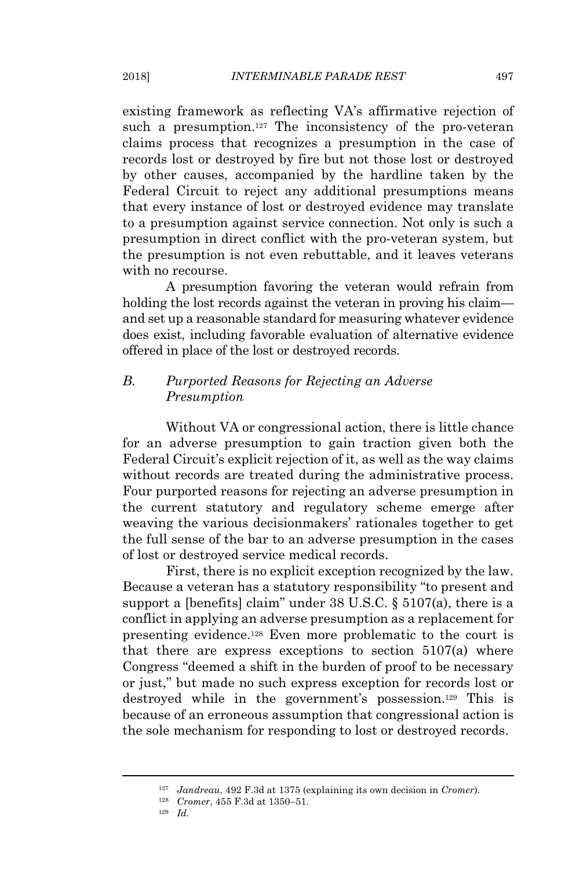existing framework as reflecting VA's affirmative rejection of such a presumption.<sup>127</sup> The inconsistency of the pro-veteran claims process that recognizes a presumption in the case of records lost or destroyed by fire but not those lost or destroyed by other causes, accompanied by the hardline taken by the Federal Circuit to reject any additional presumptions means that every instance of lost or destroyed evidence may translate to a presumption against service connection. Not only is such a presumption in direct conflict with the pro-veteran system, but the presumption is not even rebuttable, and it leaves veterans with no recourse.

A presumption favoring the veteran would refrain from holding the lost records against the veteran in proving his claim and set up a reasonable standard for measuring whatever evidence does exist, including favorable evaluation of alternative evidence offered in place of the lost or destroyed records.

## *B. Purported Reasons for Rejecting an Adverse Presumption*

Without VA or congressional action, there is little chance for an adverse presumption to gain traction given both the Federal Circuit's explicit rejection of it, as well as the way claims without records are treated during the administrative process. Four purported reasons for rejecting an adverse presumption in the current statutory and regulatory scheme emerge after weaving the various decisionmakers' rationales together to get the full sense of the bar to an adverse presumption in the cases of lost or destroyed service medical records.

First, there is no explicit exception recognized by the law. Because a veteran has a statutory responsibility "to present and support a [benefits] claim" under 38 U.S.C. § 5107(a), there is a conflict in applying an adverse presumption as a replacement for presenting evidence.<sup>128</sup> Even more problematic to the court is that there are express exceptions to section 5107(a) where Congress "deemed a shift in the burden of proof to be necessary or just," but made no such express exception for records lost or destroyed while in the government's possession.<sup>129</sup> This is because of an erroneous assumption that congressional action is the sole mechanism for responding to lost or destroyed records.

<sup>127</sup> *Jandreau*, 492 F.3d at 1375 (explaining its own decision in *Cromer*).

<sup>128</sup> *Cromer*, 455 F.3d at 1350–51.

<sup>129</sup> *Id.*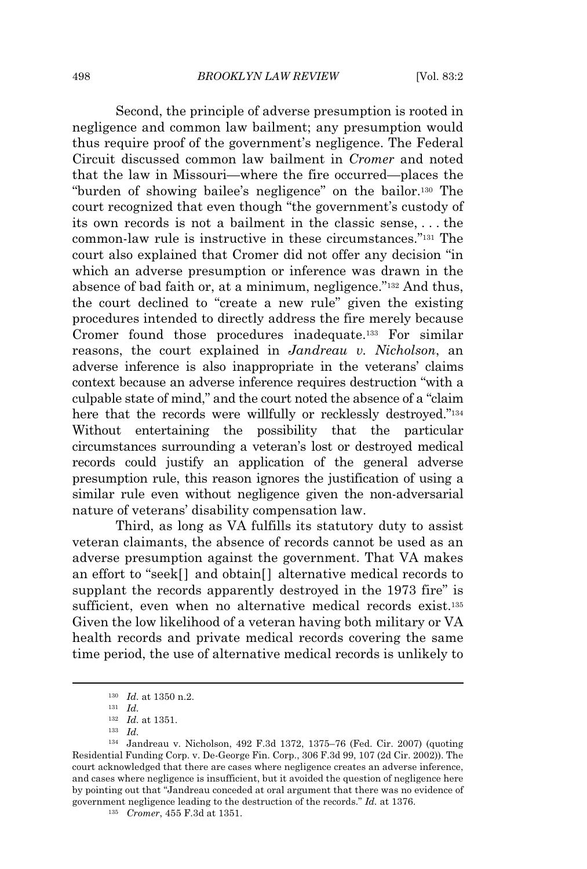Second, the principle of adverse presumption is rooted in negligence and common law bailment; any presumption would thus require proof of the government's negligence. The Federal Circuit discussed common law bailment in *Cromer* and noted that the law in Missouri—where the fire occurred—places the "burden of showing bailee's negligence" on the bailor.<sup>130</sup> The court recognized that even though "the government's custody of its own records is not a bailment in the classic sense, . . . the common-law rule is instructive in these circumstances."<sup>131</sup> The court also explained that Cromer did not offer any decision "in which an adverse presumption or inference was drawn in the absence of bad faith or, at a minimum, negligence."<sup>132</sup> And thus, the court declined to "create a new rule" given the existing procedures intended to directly address the fire merely because Cromer found those procedures inadequate.<sup>133</sup> For similar reasons, the court explained in *Jandreau v. Nicholson*, an adverse inference is also inappropriate in the veterans' claims context because an adverse inference requires destruction "with a culpable state of mind," and the court noted the absence of a "claim here that the records were willfully or recklessly destroyed."<sup>134</sup> Without entertaining the possibility that the particular circumstances surrounding a veteran's lost or destroyed medical records could justify an application of the general adverse presumption rule, this reason ignores the justification of using a similar rule even without negligence given the non-adversarial nature of veterans' disability compensation law.

Third, as long as VA fulfills its statutory duty to assist veteran claimants, the absence of records cannot be used as an adverse presumption against the government. That VA makes an effort to "seek[] and obtain[] alternative medical records to supplant the records apparently destroyed in the 1973 fire" is sufficient, even when no alternative medical records exist.<sup>135</sup> Given the low likelihood of a veteran having both military or VA health records and private medical records covering the same time period, the use of alternative medical records is unlikely to

<sup>130</sup> *Id.* at 1350 n.2.

<sup>131</sup> *Id.*

<sup>132</sup> *Id.* at 1351.

<sup>133</sup> *Id.*

<sup>134</sup> Jandreau v. Nicholson, 492 F.3d 1372, 1375–76 (Fed. Cir. 2007) (quoting Residential Funding Corp. v. De-George Fin. Corp., 306 F.3d 99, 107 (2d Cir. 2002)). The court acknowledged that there are cases where negligence creates an adverse inference, and cases where negligence is insufficient, but it avoided the question of negligence here by pointing out that "Jandreau conceded at oral argument that there was no evidence of government negligence leading to the destruction of the records." *Id.* at 1376.

<sup>135</sup> *Cromer*, 455 F.3d at 1351.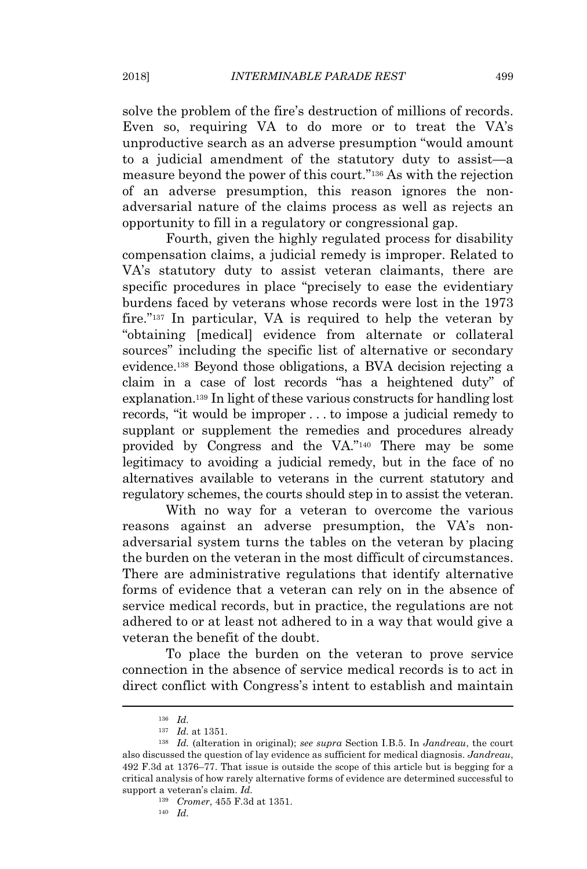solve the problem of the fire's destruction of millions of records. Even so, requiring VA to do more or to treat the VA's unproductive search as an adverse presumption "would amount to a judicial amendment of the statutory duty to assist—a measure beyond the power of this court."<sup>136</sup> As with the rejection of an adverse presumption, this reason ignores the nonadversarial nature of the claims process as well as rejects an opportunity to fill in a regulatory or congressional gap.

Fourth, given the highly regulated process for disability compensation claims, a judicial remedy is improper. Related to VA's statutory duty to assist veteran claimants, there are specific procedures in place "precisely to ease the evidentiary burdens faced by veterans whose records were lost in the 1973 fire."<sup>137</sup> In particular, VA is required to help the veteran by "obtaining [medical] evidence from alternate or collateral sources" including the specific list of alternative or secondary evidence.<sup>138</sup> Beyond those obligations, a BVA decision rejecting a claim in a case of lost records "has a heightened duty" of explanation.<sup>139</sup> In light of these various constructs for handling lost records, "it would be improper . . . to impose a judicial remedy to supplant or supplement the remedies and procedures already provided by Congress and the VA."<sup>140</sup> There may be some legitimacy to avoiding a judicial remedy, but in the face of no alternatives available to veterans in the current statutory and regulatory schemes, the courts should step in to assist the veteran.

With no way for a veteran to overcome the various reasons against an adverse presumption, the VA's nonadversarial system turns the tables on the veteran by placing the burden on the veteran in the most difficult of circumstances. There are administrative regulations that identify alternative forms of evidence that a veteran can rely on in the absence of service medical records, but in practice, the regulations are not adhered to or at least not adhered to in a way that would give a veteran the benefit of the doubt.

To place the burden on the veteran to prove service connection in the absence of service medical records is to act in direct conflict with Congress's intent to establish and maintain

<sup>136</sup> *Id.*

<sup>137</sup> *Id.* at 1351.

<sup>138</sup> *Id.* (alteration in original); *see supra* Section I.B.5. In *Jandreau*, the court also discussed the question of lay evidence as sufficient for medical diagnosis. *Jandreau*, 492 F.3d at 1376–77. That issue is outside the scope of this article but is begging for a critical analysis of how rarely alternative forms of evidence are determined successful to support a veteran's claim. *Id.*

<sup>139</sup> *Cromer*, 455 F.3d at 1351.

<sup>140</sup> *Id.*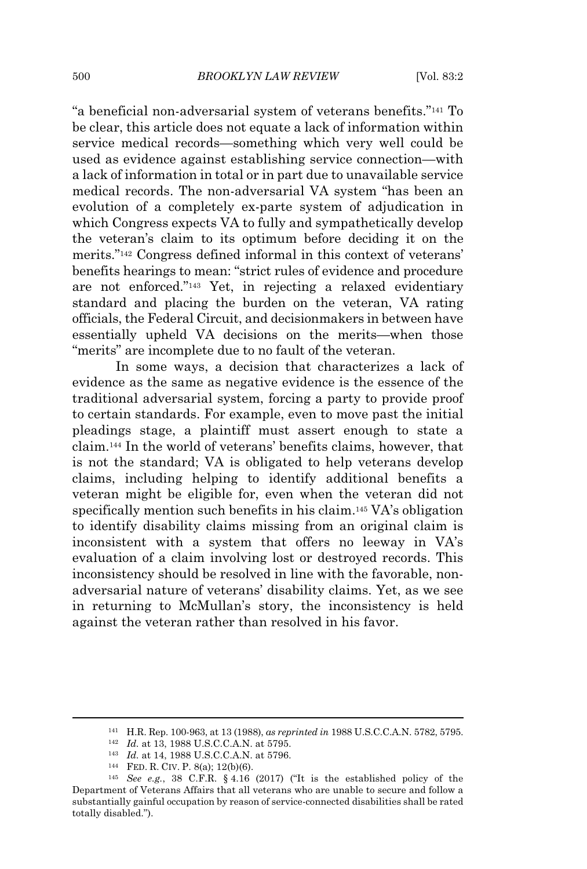"a beneficial non-adversarial system of veterans benefits."<sup>141</sup> To be clear, this article does not equate a lack of information within service medical records—something which very well could be used as evidence against establishing service connection—with a lack of information in total or in part due to unavailable service medical records. The non-adversarial VA system "has been an evolution of a completely ex-parte system of adjudication in which Congress expects VA to fully and sympathetically develop the veteran's claim to its optimum before deciding it on the merits."<sup>142</sup> Congress defined informal in this context of veterans' benefits hearings to mean: "strict rules of evidence and procedure are not enforced."<sup>143</sup> Yet, in rejecting a relaxed evidentiary standard and placing the burden on the veteran, VA rating officials, the Federal Circuit, and decisionmakers in between have essentially upheld VA decisions on the merits—when those "merits" are incomplete due to no fault of the veteran.

In some ways, a decision that characterizes a lack of evidence as the same as negative evidence is the essence of the traditional adversarial system, forcing a party to provide proof to certain standards. For example, even to move past the initial pleadings stage, a plaintiff must assert enough to state a claim.<sup>144</sup> In the world of veterans' benefits claims, however, that is not the standard; VA is obligated to help veterans develop claims, including helping to identify additional benefits a veteran might be eligible for, even when the veteran did not specifically mention such benefits in his claim.<sup>145</sup> VA's obligation to identify disability claims missing from an original claim is inconsistent with a system that offers no leeway in VA's evaluation of a claim involving lost or destroyed records. This inconsistency should be resolved in line with the favorable, nonadversarial nature of veterans' disability claims. Yet, as we see in returning to McMullan's story, the inconsistency is held against the veteran rather than resolved in his favor.

<sup>141</sup> H.R. Rep. 100-963, at 13 (1988), *as reprinted in* 1988 U.S.C.C.A.N. 5782, 5795.

<sup>142</sup> *Id.* at 13, 1988 U.S.C.C.A.N. at 5795.

<sup>143</sup> *Id.* at 14, 1988 U.S.C.C.A.N. at 5796.

<sup>144</sup> FED. R. CIV. P. 8(a); 12(b)(6).

<sup>145</sup> *See e.g.*, 38 C.F.R. § 4.16 (2017) ("It is the established policy of the Department of Veterans Affairs that all veterans who are unable to secure and follow a substantially gainful occupation by reason of service-connected disabilities shall be rated totally disabled.").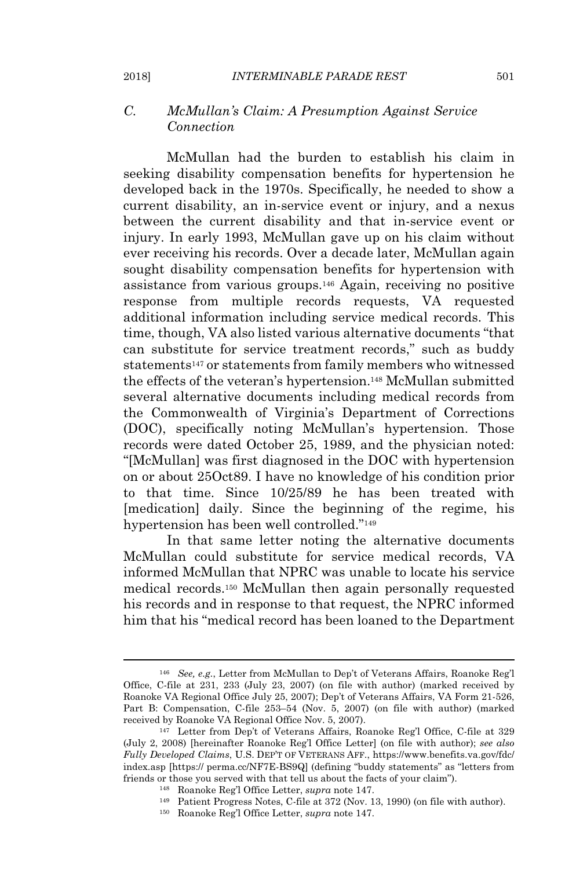## *C. McMullan's Claim: A Presumption Against Service Connection*

McMullan had the burden to establish his claim in seeking disability compensation benefits for hypertension he developed back in the 1970s. Specifically, he needed to show a current disability, an in-service event or injury, and a nexus between the current disability and that in-service event or injury. In early 1993, McMullan gave up on his claim without ever receiving his records. Over a decade later, McMullan again sought disability compensation benefits for hypertension with assistance from various groups.<sup>146</sup> Again, receiving no positive response from multiple records requests, VA requested additional information including service medical records. This time, though, VA also listed various alternative documents "that can substitute for service treatment records," such as buddy statements<sup>147</sup> or statements from family members who witnessed the effects of the veteran's hypertension.<sup>148</sup> McMullan submitted several alternative documents including medical records from the Commonwealth of Virginia's Department of Corrections (DOC), specifically noting McMullan's hypertension. Those records were dated October 25, 1989, and the physician noted: "[McMullan] was first diagnosed in the DOC with hypertension on or about 25Oct89. I have no knowledge of his condition prior to that time. Since 10/25/89 he has been treated with [medication] daily. Since the beginning of the regime, his hypertension has been well controlled."<sup>149</sup>

In that same letter noting the alternative documents McMullan could substitute for service medical records, VA informed McMullan that NPRC was unable to locate his service medical records.<sup>150</sup> McMullan then again personally requested his records and in response to that request, the NPRC informed him that his "medical record has been loaned to the Department

<sup>146</sup> *See, e.g.*, Letter from McMullan to Dep't of Veterans Affairs, Roanoke Reg'l Office, C-file at 231, 233 (July 23, 2007) (on file with author) (marked received by Roanoke VA Regional Office July 25, 2007); Dep't of Veterans Affairs, VA Form 21-526, Part B: Compensation, C-file 253–54 (Nov. 5, 2007) (on file with author) (marked received by Roanoke VA Regional Office Nov. 5, 2007).

<sup>147</sup> Letter from Dep't of Veterans Affairs, Roanoke Reg'l Office, C-file at 329 (July 2, 2008) [hereinafter Roanoke Reg'l Office Letter] (on file with author); *see also Fully Developed Claims*, U.S. DEP'T OF VETERANS AFF., https://www.benefits.va.gov/fdc/ index.asp [https:// perma.cc/NF7E-BS9Q] (defining "buddy statements" as "letters from friends or those you served with that tell us about the facts of your claim").

<sup>148</sup> Roanoke Reg'l Office Letter, *supra* note 147.

<sup>149</sup> Patient Progress Notes, C-file at 372 (Nov. 13, 1990) (on file with author).

<sup>150</sup> Roanoke Reg'l Office Letter, *supra* note 147.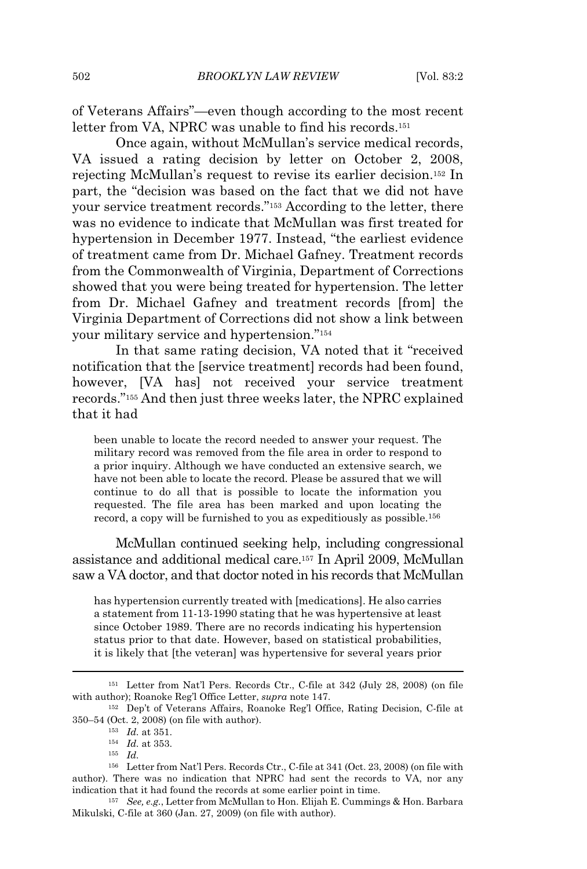of Veterans Affairs"—even though according to the most recent letter from VA, NPRC was unable to find his records.<sup>151</sup>

Once again, without McMullan's service medical records, VA issued a rating decision by letter on October 2, 2008, rejecting McMullan's request to revise its earlier decision.<sup>152</sup> In part, the "decision was based on the fact that we did not have your service treatment records."<sup>153</sup> According to the letter, there was no evidence to indicate that McMullan was first treated for hypertension in December 1977. Instead, "the earliest evidence of treatment came from Dr. Michael Gafney. Treatment records from the Commonwealth of Virginia, Department of Corrections showed that you were being treated for hypertension. The letter from Dr. Michael Gafney and treatment records [from] the Virginia Department of Corrections did not show a link between your military service and hypertension."<sup>154</sup>

In that same rating decision, VA noted that it "received notification that the [service treatment] records had been found, however, [VA has] not received your service treatment records."<sup>155</sup> And then just three weeks later, the NPRC explained that it had

been unable to locate the record needed to answer your request. The military record was removed from the file area in order to respond to a prior inquiry. Although we have conducted an extensive search, we have not been able to locate the record. Please be assured that we will continue to do all that is possible to locate the information you requested. The file area has been marked and upon locating the record, a copy will be furnished to you as expeditiously as possible.<sup>156</sup>

McMullan continued seeking help, including congressional assistance and additional medical care.<sup>157</sup> In April 2009, McMullan saw a VA doctor, and that doctor noted in his records that McMullan

has hypertension currently treated with [medications]. He also carries a statement from 11-13-1990 stating that he was hypertensive at least since October 1989. There are no records indicating his hypertension status prior to that date. However, based on statistical probabilities, it is likely that [the veteran] was hypertensive for several years prior

<sup>157</sup> *See, e.g.*, Letter from McMullan to Hon. Elijah E. Cummings & Hon. Barbara Mikulski, C-file at 360 (Jan. 27, 2009) (on file with author).

<sup>151</sup> Letter from Nat'l Pers. Records Ctr., C-file at 342 (July 28, 2008) (on file with author); Roanoke Reg'l Office Letter, *supra* note 147.

<sup>152</sup> Dep't of Veterans Affairs, Roanoke Reg'l Office, Rating Decision, C-file at 350–54 (Oct. 2, 2008) (on file with author).

<sup>153</sup> *Id.* at 351.

<sup>154</sup> *Id.* at 353.

<sup>155</sup> *Id.*

<sup>156</sup> Letter from Nat'l Pers. Records Ctr., C-file at 341 (Oct. 23, 2008) (on file with author). There was no indication that NPRC had sent the records to VA, nor any indication that it had found the records at some earlier point in time.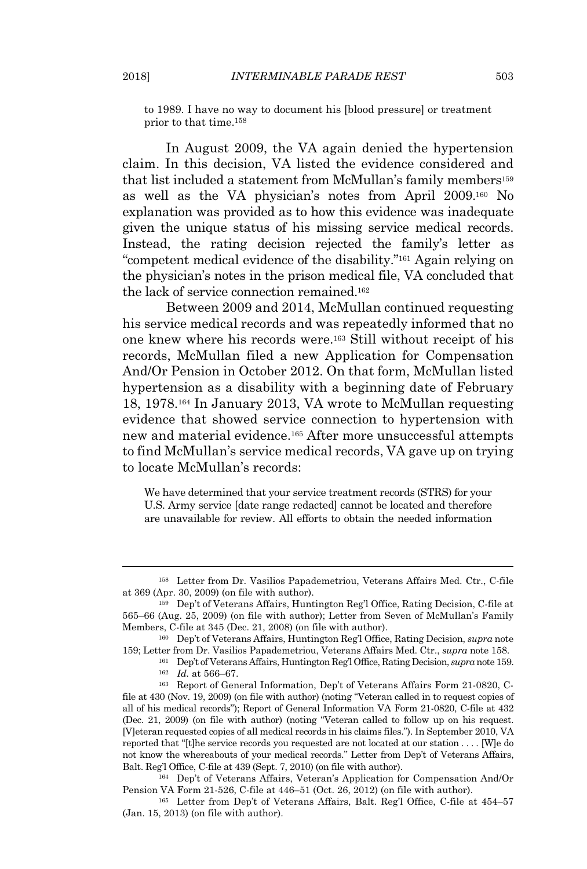to 1989. I have no way to document his [blood pressure] or treatment prior to that time.<sup>158</sup>

In August 2009, the VA again denied the hypertension claim. In this decision, VA listed the evidence considered and that list included a statement from McMullan's family members<sup>159</sup> as well as the VA physician's notes from April 2009.<sup>160</sup> No explanation was provided as to how this evidence was inadequate given the unique status of his missing service medical records. Instead, the rating decision rejected the family's letter as "competent medical evidence of the disability."<sup>161</sup> Again relying on the physician's notes in the prison medical file, VA concluded that the lack of service connection remained.<sup>162</sup>

Between 2009 and 2014, McMullan continued requesting his service medical records and was repeatedly informed that no one knew where his records were.<sup>163</sup> Still without receipt of his records, McMullan filed a new Application for Compensation And/Or Pension in October 2012. On that form, McMullan listed hypertension as a disability with a beginning date of February 18, 1978.<sup>164</sup> In January 2013, VA wrote to McMullan requesting evidence that showed service connection to hypertension with new and material evidence.<sup>165</sup> After more unsuccessful attempts to find McMullan's service medical records, VA gave up on trying to locate McMullan's records:

We have determined that your service treatment records (STRS) for your U.S. Army service [date range redacted] cannot be located and therefore are unavailable for review. All efforts to obtain the needed information

<sup>164</sup> Dep't of Veterans Affairs, Veteran's Application for Compensation And/Or Pension VA Form 21-526, C-file at 446–51 (Oct. 26, 2012) (on file with author).

<sup>165</sup> Letter from Dep't of Veterans Affairs, Balt. Reg'l Office, C-file at 454–57 (Jan. 15, 2013) (on file with author).

<sup>158</sup> Letter from Dr. Vasilios Papademetriou, Veterans Affairs Med. Ctr., C-file at 369 (Apr. 30, 2009) (on file with author).

<sup>159</sup> Dep't of Veterans Affairs, Huntington Reg'l Office, Rating Decision, C-file at 565–66 (Aug. 25, 2009) (on file with author); Letter from Seven of McMullan's Family Members, C-file at 345 (Dec. 21, 2008) (on file with author).

<sup>160</sup> Dep't of Veterans Affairs, Huntington Reg'l Office, Rating Decision, *supra* note 159; Letter from Dr. Vasilios Papademetriou, Veterans Affairs Med. Ctr., *supra* note 158.

<sup>161</sup> Dep't of Veterans Affairs, Huntington Reg'l Office, Rating Decision, *supra* note 159. <sup>162</sup> *Id.* at 566–67.

<sup>163</sup> Report of General Information, Dep't of Veterans Affairs Form 21-0820, Cfile at 430 (Nov. 19, 2009) (on file with author) (noting "Veteran called in to request copies of all of his medical records"); Report of General Information VA Form 21-0820, C-file at 432 (Dec. 21, 2009) (on file with author) (noting "Veteran called to follow up on his request. [V]eteran requested copies of all medical records in his claims files."). In September 2010, VA reported that "[t]he service records you requested are not located at our station . . . . [W]e do not know the whereabouts of your medical records." Letter from Dep't of Veterans Affairs, Balt. Reg'l Office, C-file at 439 (Sept. 7, 2010) (on file with author).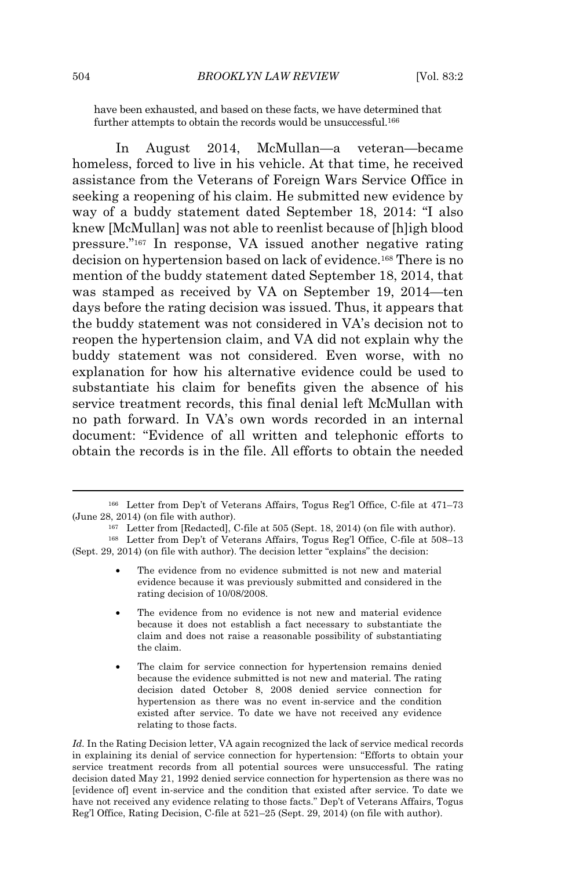have been exhausted, and based on these facts, we have determined that further attempts to obtain the records would be unsuccessful.<sup>166</sup>

In August 2014, McMullan—a veteran—became homeless, forced to live in his vehicle. At that time, he received assistance from the Veterans of Foreign Wars Service Office in seeking a reopening of his claim. He submitted new evidence by way of a buddy statement dated September 18, 2014: "I also knew [McMullan] was not able to reenlist because of [h]igh blood pressure."<sup>167</sup> In response, VA issued another negative rating decision on hypertension based on lack of evidence.<sup>168</sup> There is no mention of the buddy statement dated September 18, 2014, that was stamped as received by VA on September 19, 2014—ten days before the rating decision was issued. Thus, it appears that the buddy statement was not considered in VA's decision not to reopen the hypertension claim, and VA did not explain why the buddy statement was not considered. Even worse, with no explanation for how his alternative evidence could be used to substantiate his claim for benefits given the absence of his service treatment records, this final denial left McMullan with no path forward. In VA's own words recorded in an internal document: "Evidence of all written and telephonic efforts to obtain the records is in the file. All efforts to obtain the needed

- The evidence from no evidence submitted is not new and material evidence because it was previously submitted and considered in the rating decision of 10/08/2008.
- The evidence from no evidence is not new and material evidence because it does not establish a fact necessary to substantiate the claim and does not raise a reasonable possibility of substantiating the claim.
- The claim for service connection for hypertension remains denied because the evidence submitted is not new and material. The rating decision dated October 8, 2008 denied service connection for hypertension as there was no event in-service and the condition existed after service. To date we have not received any evidence relating to those facts.

*Id.* In the Rating Decision letter, VA again recognized the lack of service medical records in explaining its denial of service connection for hypertension: "Efforts to obtain your service treatment records from all potential sources were unsuccessful. The rating decision dated May 21, 1992 denied service connection for hypertension as there was no [evidence of] event in-service and the condition that existed after service. To date we have not received any evidence relating to those facts." Dep't of Veterans Affairs, Togus Reg'l Office, Rating Decision, C-file at 521–25 (Sept. 29, 2014) (on file with author).

<sup>166</sup> Letter from Dep't of Veterans Affairs, Togus Reg'l Office, C-file at 471–73 (June 28, 2014) (on file with author).

<sup>167</sup> Letter from [Redacted], C-file at 505 (Sept. 18, 2014) (on file with author).

<sup>168</sup> Letter from Dep't of Veterans Affairs, Togus Reg'l Office, C-file at 508–13 (Sept. 29, 2014) (on file with author). The decision letter "explains" the decision: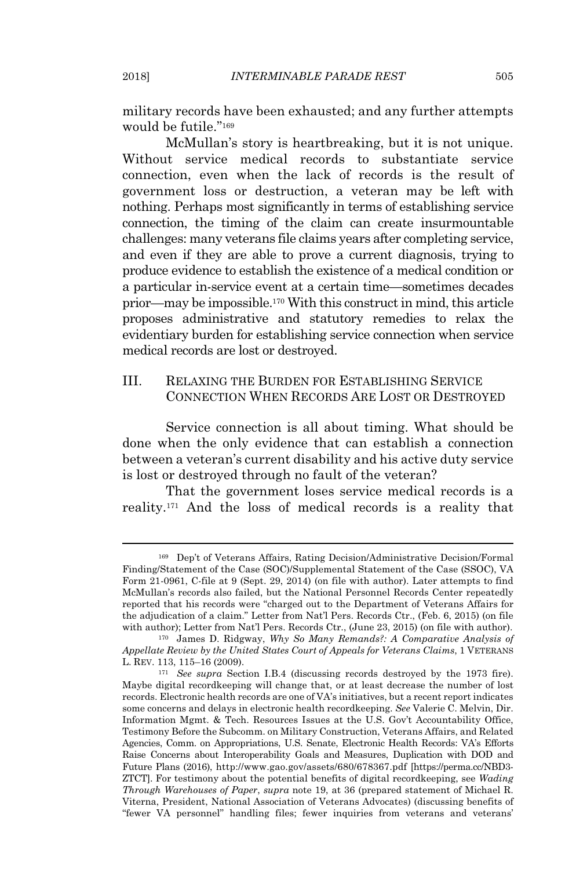military records have been exhausted; and any further attempts would be futile."<sup>169</sup>

McMullan's story is heartbreaking, but it is not unique. Without service medical records to substantiate service connection, even when the lack of records is the result of government loss or destruction, a veteran may be left with nothing. Perhaps most significantly in terms of establishing service connection, the timing of the claim can create insurmountable challenges: many veterans file claims years after completing service, and even if they are able to prove a current diagnosis, trying to produce evidence to establish the existence of a medical condition or a particular in-service event at a certain time—sometimes decades prior—may be impossible.<sup>170</sup> With this construct in mind, this article proposes administrative and statutory remedies to relax the evidentiary burden for establishing service connection when service medical records are lost or destroyed.

## III. RELAXING THE BURDEN FOR ESTABLISHING SERVICE CONNECTION WHEN RECORDS ARE LOST OR DESTROYED

Service connection is all about timing. What should be done when the only evidence that can establish a connection between a veteran's current disability and his active duty service is lost or destroyed through no fault of the veteran?

That the government loses service medical records is a reality.<sup>171</sup> And the loss of medical records is a reality that

<sup>169</sup> Dep't of Veterans Affairs, Rating Decision/Administrative Decision/Formal Finding/Statement of the Case (SOC)/Supplemental Statement of the Case (SSOC), VA Form 21-0961, C-file at 9 (Sept. 29, 2014) (on file with author). Later attempts to find McMullan's records also failed, but the National Personnel Records Center repeatedly reported that his records were "charged out to the Department of Veterans Affairs for the adjudication of a claim." Letter from Nat'l Pers. Records Ctr., (Feb. 6, 2015) (on file with author); Letter from Nat'l Pers. Records Ctr., (June 23, 2015) (on file with author).

<sup>170</sup> James D. Ridgway, *Why So Many Remands?: A Comparative Analysis of Appellate Review by the United States Court of Appeals for Veterans Claims*, 1 VETERANS L. REV. 113, 115–16 (2009).

<sup>171</sup> *See supra* Section I.B.4 (discussing records destroyed by the 1973 fire). Maybe digital recordkeeping will change that, or at least decrease the number of lost records. Electronic health records are one of VA's initiatives, but a recent report indicates some concerns and delays in electronic health recordkeeping. *See* Valerie C. Melvin, Dir. Information Mgmt. & Tech. Resources Issues at the U.S. Gov't Accountability Office, Testimony Before the Subcomm. on Military Construction, Veterans Affairs, and Related Agencies, Comm. on Appropriations, U.S. Senate, Electronic Health Records: VA's Efforts Raise Concerns about Interoperability Goals and Measures, Duplication with DOD and Future Plans (2016), http://www.gao.gov/assets/680/678367.pdf [https://perma.cc/NBD3- ZTCT]. For testimony about the potential benefits of digital recordkeeping, see *Wading Through Warehouses of Paper*, *supra* note 19, at 36 (prepared statement of Michael R. Viterna, President, National Association of Veterans Advocates) (discussing benefits of "fewer VA personnel" handling files; fewer inquiries from veterans and veterans'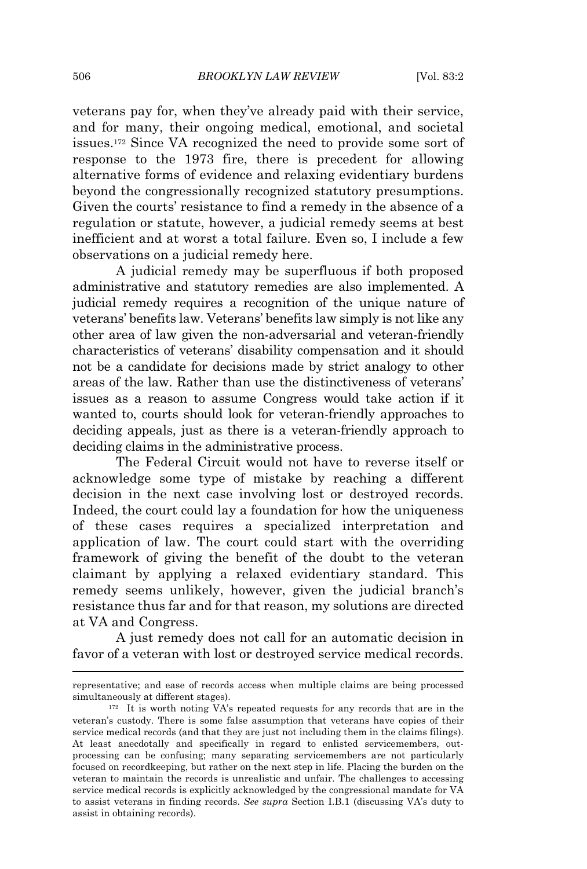veterans pay for, when they've already paid with their service, and for many, their ongoing medical, emotional, and societal issues.<sup>172</sup> Since VA recognized the need to provide some sort of response to the 1973 fire, there is precedent for allowing alternative forms of evidence and relaxing evidentiary burdens beyond the congressionally recognized statutory presumptions. Given the courts' resistance to find a remedy in the absence of a regulation or statute, however, a judicial remedy seems at best inefficient and at worst a total failure. Even so, I include a few observations on a judicial remedy here.

A judicial remedy may be superfluous if both proposed administrative and statutory remedies are also implemented. A judicial remedy requires a recognition of the unique nature of veterans' benefits law. Veterans' benefits law simply is not like any other area of law given the non-adversarial and veteran-friendly characteristics of veterans' disability compensation and it should not be a candidate for decisions made by strict analogy to other areas of the law. Rather than use the distinctiveness of veterans' issues as a reason to assume Congress would take action if it wanted to, courts should look for veteran-friendly approaches to deciding appeals, just as there is a veteran-friendly approach to deciding claims in the administrative process.

The Federal Circuit would not have to reverse itself or acknowledge some type of mistake by reaching a different decision in the next case involving lost or destroyed records. Indeed, the court could lay a foundation for how the uniqueness of these cases requires a specialized interpretation and application of law. The court could start with the overriding framework of giving the benefit of the doubt to the veteran claimant by applying a relaxed evidentiary standard. This remedy seems unlikely, however, given the judicial branch's resistance thus far and for that reason, my solutions are directed at VA and Congress.

A just remedy does not call for an automatic decision in favor of a veteran with lost or destroyed service medical records.

representative; and ease of records access when multiple claims are being processed simultaneously at different stages).

<sup>172</sup> It is worth noting VA's repeated requests for any records that are in the veteran's custody. There is some false assumption that veterans have copies of their service medical records (and that they are just not including them in the claims filings). At least anecdotally and specifically in regard to enlisted servicemembers, outprocessing can be confusing; many separating servicemembers are not particularly focused on recordkeeping, but rather on the next step in life. Placing the burden on the veteran to maintain the records is unrealistic and unfair. The challenges to accessing service medical records is explicitly acknowledged by the congressional mandate for VA to assist veterans in finding records. *See supra* Section I.B.1 (discussing VA's duty to assist in obtaining records).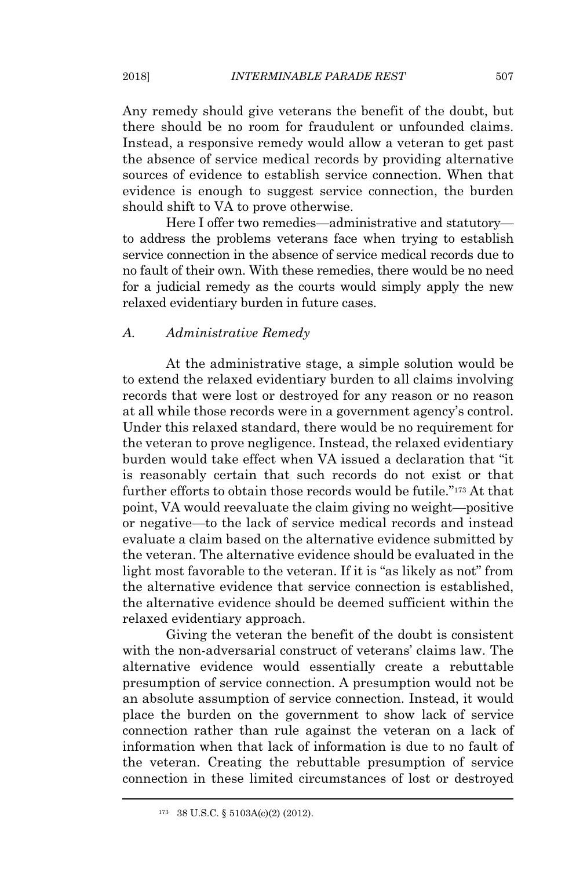Any remedy should give veterans the benefit of the doubt, but there should be no room for fraudulent or unfounded claims. Instead, a responsive remedy would allow a veteran to get past the absence of service medical records by providing alternative sources of evidence to establish service connection. When that evidence is enough to suggest service connection, the burden should shift to VA to prove otherwise.

Here I offer two remedies—administrative and statutory to address the problems veterans face when trying to establish service connection in the absence of service medical records due to no fault of their own. With these remedies, there would be no need for a judicial remedy as the courts would simply apply the new relaxed evidentiary burden in future cases.

## *A. Administrative Remedy*

At the administrative stage, a simple solution would be to extend the relaxed evidentiary burden to all claims involving records that were lost or destroyed for any reason or no reason at all while those records were in a government agency's control. Under this relaxed standard, there would be no requirement for the veteran to prove negligence. Instead, the relaxed evidentiary burden would take effect when VA issued a declaration that "it is reasonably certain that such records do not exist or that further efforts to obtain those records would be futile."<sup>173</sup> At that point, VA would reevaluate the claim giving no weight—positive or negative—to the lack of service medical records and instead evaluate a claim based on the alternative evidence submitted by the veteran. The alternative evidence should be evaluated in the light most favorable to the veteran. If it is "as likely as not" from the alternative evidence that service connection is established, the alternative evidence should be deemed sufficient within the relaxed evidentiary approach.

Giving the veteran the benefit of the doubt is consistent with the non-adversarial construct of veterans' claims law. The alternative evidence would essentially create a rebuttable presumption of service connection. A presumption would not be an absolute assumption of service connection. Instead, it would place the burden on the government to show lack of service connection rather than rule against the veteran on a lack of information when that lack of information is due to no fault of the veteran. Creating the rebuttable presumption of service connection in these limited circumstances of lost or destroyed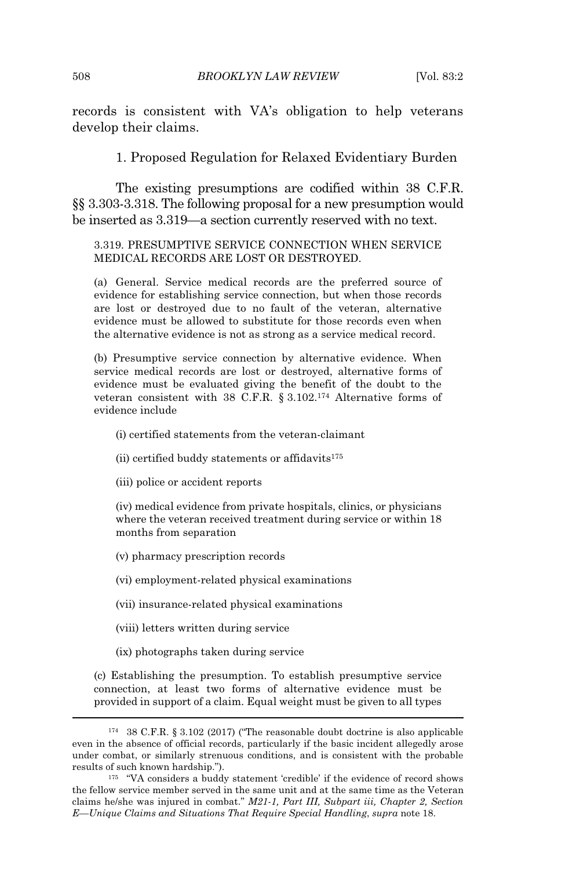records is consistent with VA's obligation to help veterans develop their claims.

1. Proposed Regulation for Relaxed Evidentiary Burden

The existing presumptions are codified within 38 C.F.R. §§ 3.303-3.318. The following proposal for a new presumption would be inserted as 3.319—a section currently reserved with no text.

#### 3.319. PRESUMPTIVE SERVICE CONNECTION WHEN SERVICE MEDICAL RECORDS ARE LOST OR DESTROYED.

(a) General. Service medical records are the preferred source of evidence for establishing service connection, but when those records are lost or destroyed due to no fault of the veteran, alternative evidence must be allowed to substitute for those records even when the alternative evidence is not as strong as a service medical record.

(b) Presumptive service connection by alternative evidence. When service medical records are lost or destroyed, alternative forms of evidence must be evaluated giving the benefit of the doubt to the veteran consistent with 38 C.F.R. § 3.102.<sup>174</sup> Alternative forms of evidence include

(i) certified statements from the veteran-claimant

(ii) certified buddy statements or affidavits $175$ 

(iii) police or accident reports

(iv) medical evidence from private hospitals, clinics, or physicians where the veteran received treatment during service or within 18 months from separation

(v) pharmacy prescription records

(vi) employment-related physical examinations

(vii) insurance-related physical examinations

(viii) letters written during service

(ix) photographs taken during service

(c) Establishing the presumption. To establish presumptive service connection, at least two forms of alternative evidence must be provided in support of a claim. Equal weight must be given to all types

<sup>174</sup> 38 C.F.R. § 3.102 (2017) ("The reasonable doubt doctrine is also applicable even in the absence of official records, particularly if the basic incident allegedly arose under combat, or similarly strenuous conditions, and is consistent with the probable results of such known hardship.").

<sup>&</sup>lt;sup>175</sup> "VA considers a buddy statement 'credible' if the evidence of record shows the fellow service member served in the same unit and at the same time as the Veteran claims he/she was injured in combat." *M21-1, Part III, Subpart iii, Chapter 2, Section E—Unique Claims and Situations That Require Special Handling*, *supra* note 18.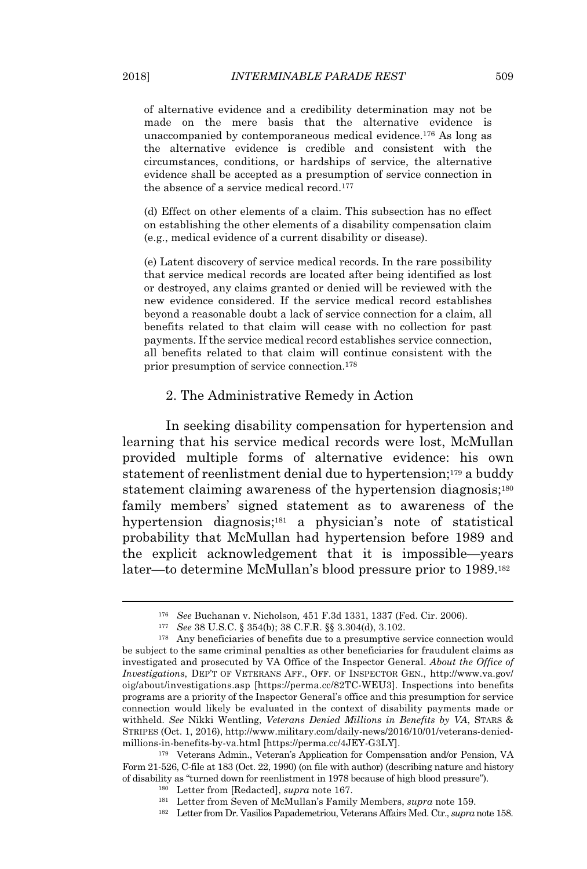of alternative evidence and a credibility determination may not be made on the mere basis that the alternative evidence is unaccompanied by contemporaneous medical evidence.<sup>176</sup> As long as the alternative evidence is credible and consistent with the circumstances, conditions, or hardships of service, the alternative evidence shall be accepted as a presumption of service connection in the absence of a service medical record.<sup>177</sup>

(d) Effect on other elements of a claim. This subsection has no effect on establishing the other elements of a disability compensation claim (e.g., medical evidence of a current disability or disease).

(e) Latent discovery of service medical records. In the rare possibility that service medical records are located after being identified as lost or destroyed, any claims granted or denied will be reviewed with the new evidence considered. If the service medical record establishes beyond a reasonable doubt a lack of service connection for a claim, all benefits related to that claim will cease with no collection for past payments. If the service medical record establishes service connection, all benefits related to that claim will continue consistent with the prior presumption of service connection.<sup>178</sup>

#### 2. The Administrative Remedy in Action

In seeking disability compensation for hypertension and learning that his service medical records were lost, McMullan provided multiple forms of alternative evidence: his own statement of reenlistment denial due to hypertension;<sup>179</sup> a buddy statement claiming awareness of the hypertension diagnosis;<sup>180</sup> family members' signed statement as to awareness of the hypertension diagnosis;<sup>181</sup> a physician's note of statistical probability that McMullan had hypertension before 1989 and the explicit acknowledgement that it is impossible—years later—to determine McMullan's blood pressure prior to 1989.<sup>182</sup>

<sup>176</sup> *See* Buchanan v. Nicholson*,* 451 F.3d 1331, 1337 (Fed. Cir. 2006).

<sup>177</sup> *See* 38 U.S.C. § 354(b); 38 C.F.R. §§ 3.304(d), 3.102.

<sup>178</sup> Any beneficiaries of benefits due to a presumptive service connection would be subject to the same criminal penalties as other beneficiaries for fraudulent claims as investigated and prosecuted by VA Office of the Inspector General. *About the Office of Investigations*, DEP'T OF VETERANS AFF., OFF. OF INSPECTOR GEN., http://www.va.gov/ oig/about/investigations.asp [https://perma.cc/82TC-WEU3]. Inspections into benefits programs are a priority of the Inspector General's office and this presumption for service connection would likely be evaluated in the context of disability payments made or withheld. *See* Nikki Wentling, *Veterans Denied Millions in Benefits by VA*, STARS & STRIPES (Oct. 1, 2016), http://www.military.com/daily-news/2016/10/01/veterans-deniedmillions-in-benefits-by-va.html [https://perma.cc/4JEY-G3LY].

<sup>179</sup> Veterans Admin., Veteran's Application for Compensation and/or Pension, VA Form 21-526, C-file at 183 (Oct. 22, 1990) (on file with author) (describing nature and history of disability as "turned down for reenlistment in 1978 because of high blood pressure").

<sup>180</sup> Letter from [Redacted], *supra* note 167.

<sup>181</sup> Letter from Seven of McMullan's Family Members, *supra* note 159.

<sup>182</sup> Letter from Dr. Vasilios Papademetriou, Veterans Affairs Med. Ctr., *supra* note 158.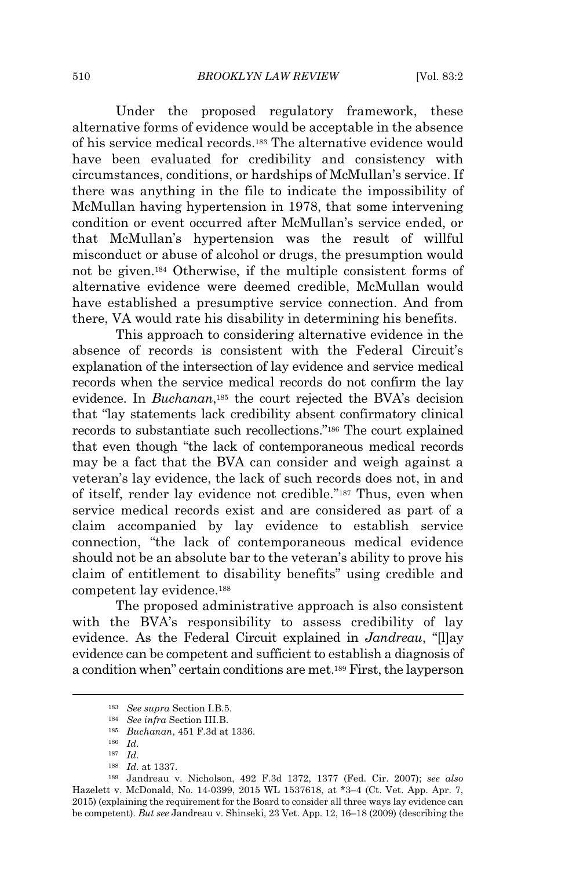Under the proposed regulatory framework, these alternative forms of evidence would be acceptable in the absence of his service medical records.<sup>183</sup> The alternative evidence would have been evaluated for credibility and consistency with circumstances, conditions, or hardships of McMullan's service. If there was anything in the file to indicate the impossibility of McMullan having hypertension in 1978, that some intervening condition or event occurred after McMullan's service ended, or that McMullan's hypertension was the result of willful misconduct or abuse of alcohol or drugs, the presumption would not be given.<sup>184</sup> Otherwise, if the multiple consistent forms of alternative evidence were deemed credible, McMullan would have established a presumptive service connection. And from there, VA would rate his disability in determining his benefits.

This approach to considering alternative evidence in the absence of records is consistent with the Federal Circuit's explanation of the intersection of lay evidence and service medical records when the service medical records do not confirm the lay evidence. In *Buchanan*, <sup>185</sup> the court rejected the BVA's decision that "lay statements lack credibility absent confirmatory clinical records to substantiate such recollections."<sup>186</sup> The court explained that even though "the lack of contemporaneous medical records may be a fact that the BVA can consider and weigh against a veteran's lay evidence, the lack of such records does not, in and of itself, render lay evidence not credible."<sup>187</sup> Thus, even when service medical records exist and are considered as part of a claim accompanied by lay evidence to establish service connection, "the lack of contemporaneous medical evidence should not be an absolute bar to the veteran's ability to prove his claim of entitlement to disability benefits" using credible and competent lay evidence.<sup>188</sup>

The proposed administrative approach is also consistent with the BVA's responsibility to assess credibility of lay evidence. As the Federal Circuit explained in *Jandreau*, "[l]ay evidence can be competent and sufficient to establish a diagnosis of a condition when" certain conditions are met.<sup>189</sup> First, the layperson

<sup>183</sup> *See supra* Section I.B.5.

<sup>184</sup> *See infra* Section III.B.

<sup>185</sup> *Buchanan*, 451 F.3d at 1336.

<sup>186</sup> *Id.*

<sup>187</sup> *Id.*

<sup>188</sup> *Id.* at 1337.

<sup>189</sup> Jandreau v. Nicholson, 492 F.3d 1372, 1377 (Fed. Cir. 2007); *see also* Hazelett v. McDonald, No. 14-0399, 2015 WL 1537618, at \*3–4 (Ct. Vet. App. Apr. 7, 2015) (explaining the requirement for the Board to consider all three ways lay evidence can be competent). *But see* Jandreau v. Shinseki, 23 Vet. App. 12, 16–18 (2009) (describing the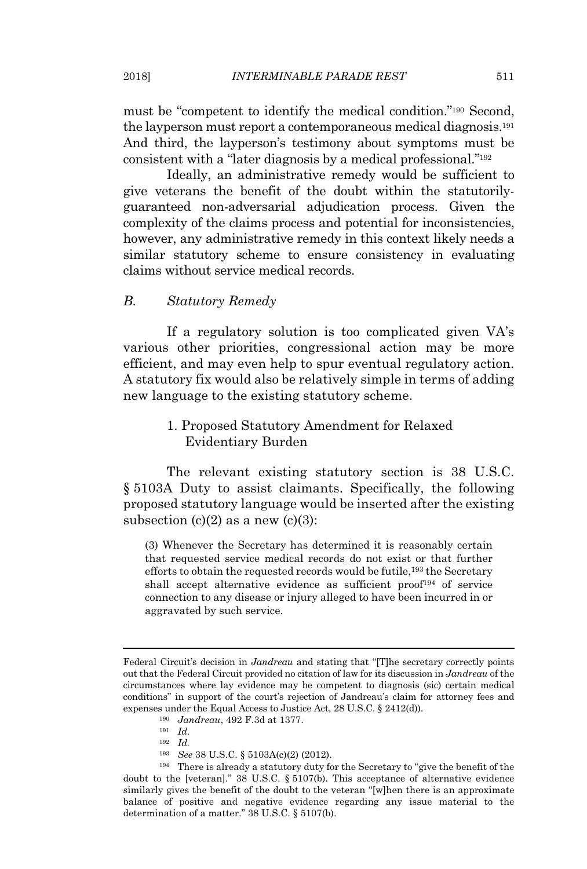must be "competent to identify the medical condition."<sup>190</sup> Second, the layperson must report a contemporaneous medical diagnosis.<sup>191</sup> And third, the layperson's testimony about symptoms must be consistent with a "later diagnosis by a medical professional."<sup>192</sup>

Ideally, an administrative remedy would be sufficient to give veterans the benefit of the doubt within the statutorilyguaranteed non-adversarial adjudication process. Given the complexity of the claims process and potential for inconsistencies, however, any administrative remedy in this context likely needs a similar statutory scheme to ensure consistency in evaluating claims without service medical records.

## *B. Statutory Remedy*

If a regulatory solution is too complicated given VA's various other priorities, congressional action may be more efficient, and may even help to spur eventual regulatory action. A statutory fix would also be relatively simple in terms of adding new language to the existing statutory scheme.

## 1. Proposed Statutory Amendment for Relaxed Evidentiary Burden

The relevant existing statutory section is 38 U.S.C. § 5103A Duty to assist claimants. Specifically, the following proposed statutory language would be inserted after the existing subsection  $(c)(2)$  as a new  $(c)(3)$ :

(3) Whenever the Secretary has determined it is reasonably certain that requested service medical records do not exist or that further efforts to obtain the requested records would be futile,<sup>193</sup> the Secretary shall accept alternative evidence as sufficient proof<sup>194</sup> of service connection to any disease or injury alleged to have been incurred in or aggravated by such service.

- <sup>192</sup> *Id.*
- <sup>193</sup> *See* 38 U.S.C. § 5103A(c)(2) (2012).

Federal Circuit's decision in *Jandreau* and stating that "[T]he secretary correctly points out that the Federal Circuit provided no citation of law for its discussion in *Jandreau* of the circumstances where lay evidence may be competent to diagnosis (sic) certain medical conditions" in support of the court's rejection of Jandreau's claim for attorney fees and expenses under the Equal Access to Justice Act, 28 U.S.C. § 2412(d)).

<sup>190</sup> *Jandreau*, 492 F.3d at 1377.

<sup>191</sup> *Id.*

<sup>194</sup> There is already a statutory duty for the Secretary to "give the benefit of the doubt to the [veteran]." 38 U.S.C. § 5107(b). This acceptance of alternative evidence similarly gives the benefit of the doubt to the veteran "[w]hen there is an approximate balance of positive and negative evidence regarding any issue material to the determination of a matter." 38 U.S.C. § 5107(b).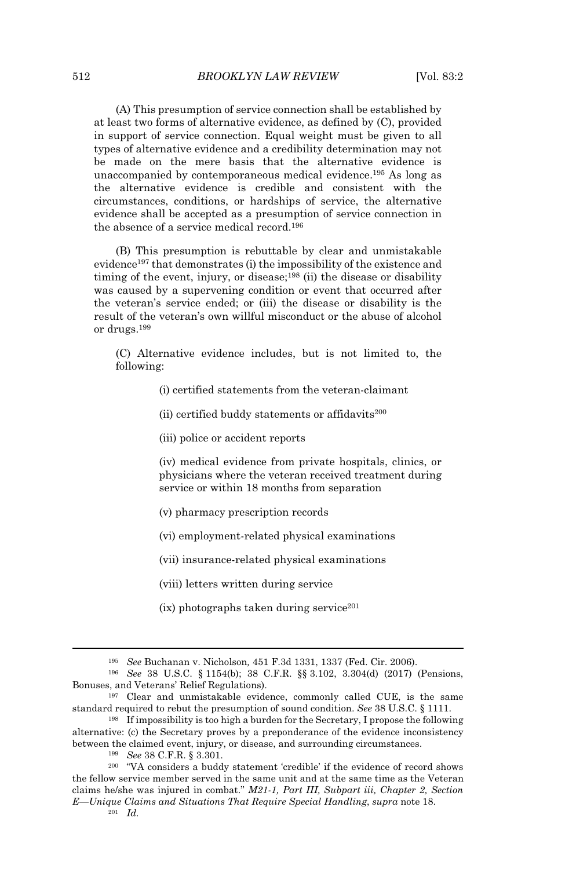(A) This presumption of service connection shall be established by at least two forms of alternative evidence, as defined by (C), provided in support of service connection. Equal weight must be given to all types of alternative evidence and a credibility determination may not be made on the mere basis that the alternative evidence is unaccompanied by contemporaneous medical evidence.<sup>195</sup> As long as the alternative evidence is credible and consistent with the circumstances, conditions, or hardships of service, the alternative evidence shall be accepted as a presumption of service connection in the absence of a service medical record.<sup>196</sup>

(B) This presumption is rebuttable by clear and unmistakable evidence<sup>197</sup> that demonstrates (i) the impossibility of the existence and timing of the event, injury, or disease;<sup>198</sup> (ii) the disease or disability was caused by a supervening condition or event that occurred after the veteran's service ended; or (iii) the disease or disability is the result of the veteran's own willful misconduct or the abuse of alcohol or drugs.<sup>199</sup>

(C) Alternative evidence includes, but is not limited to, the following:

(i) certified statements from the veteran-claimant

(ii) certified buddy statements or affidavits<sup>200</sup>

(iii) police or accident reports

(iv) medical evidence from private hospitals, clinics, or physicians where the veteran received treatment during service or within 18 months from separation

- (v) pharmacy prescription records
- (vi) employment-related physical examinations

(vii) insurance-related physical examinations

(viii) letters written during service

 $(ix)$  photographs taken during service<sup>201</sup>

<sup>195</sup> *See* Buchanan v. Nicholson*,* 451 F.3d 1331, 1337 (Fed. Cir. 2006).

<sup>196</sup> *See* 38 U.S.C. § 1154(b); 38 C.F.R. §§ 3.102, 3.304(d) (2017) (Pensions, Bonuses, and Veterans' Relief Regulations).

<sup>197</sup> Clear and unmistakable evidence, commonly called CUE, is the same standard required to rebut the presumption of sound condition. *See* 38 U.S.C. § 1111.

<sup>198</sup> If impossibility is too high a burden for the Secretary, I propose the following alternative: (c) the Secretary proves by a preponderance of the evidence inconsistency between the claimed event, injury, or disease, and surrounding circumstances.

<sup>199</sup> *See* 38 C.F.R. § 3.301.

<sup>200</sup> "VA considers a buddy statement 'credible' if the evidence of record shows the fellow service member served in the same unit and at the same time as the Veteran claims he/she was injured in combat." *M21-1, Part III, Subpart iii, Chapter 2, Section E—Unique Claims and Situations That Require Special Handling*, *supra* note 18.  $201$  *Id.*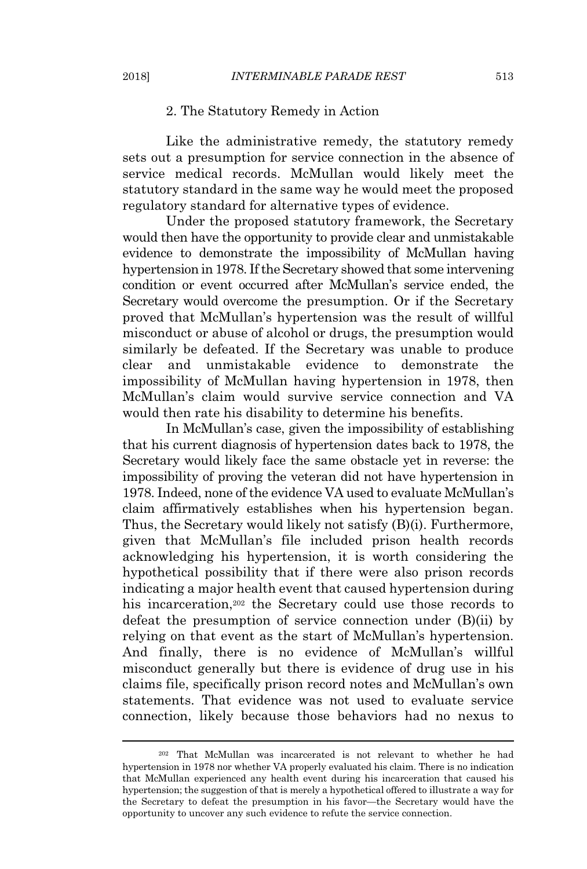## 2. The Statutory Remedy in Action

Like the administrative remedy, the statutory remedy sets out a presumption for service connection in the absence of service medical records. McMullan would likely meet the statutory standard in the same way he would meet the proposed regulatory standard for alternative types of evidence.

Under the proposed statutory framework, the Secretary would then have the opportunity to provide clear and unmistakable evidence to demonstrate the impossibility of McMullan having hypertension in 1978. If the Secretary showed that some intervening condition or event occurred after McMullan's service ended, the Secretary would overcome the presumption. Or if the Secretary proved that McMullan's hypertension was the result of willful misconduct or abuse of alcohol or drugs, the presumption would similarly be defeated. If the Secretary was unable to produce clear and unmistakable evidence to demonstrate the impossibility of McMullan having hypertension in 1978, then McMullan's claim would survive service connection and VA would then rate his disability to determine his benefits.

In McMullan's case, given the impossibility of establishing that his current diagnosis of hypertension dates back to 1978, the Secretary would likely face the same obstacle yet in reverse: the impossibility of proving the veteran did not have hypertension in 1978. Indeed, none of the evidence VA used to evaluate McMullan's claim affirmatively establishes when his hypertension began. Thus, the Secretary would likely not satisfy (B)(i). Furthermore, given that McMullan's file included prison health records acknowledging his hypertension, it is worth considering the hypothetical possibility that if there were also prison records indicating a major health event that caused hypertension during his incarceration,<sup>202</sup> the Secretary could use those records to defeat the presumption of service connection under (B)(ii) by relying on that event as the start of McMullan's hypertension. And finally, there is no evidence of McMullan's willful misconduct generally but there is evidence of drug use in his claims file, specifically prison record notes and McMullan's own statements. That evidence was not used to evaluate service connection, likely because those behaviors had no nexus to

<sup>202</sup> That McMullan was incarcerated is not relevant to whether he had hypertension in 1978 nor whether VA properly evaluated his claim. There is no indication that McMullan experienced any health event during his incarceration that caused his hypertension; the suggestion of that is merely a hypothetical offered to illustrate a way for the Secretary to defeat the presumption in his favor—the Secretary would have the opportunity to uncover any such evidence to refute the service connection.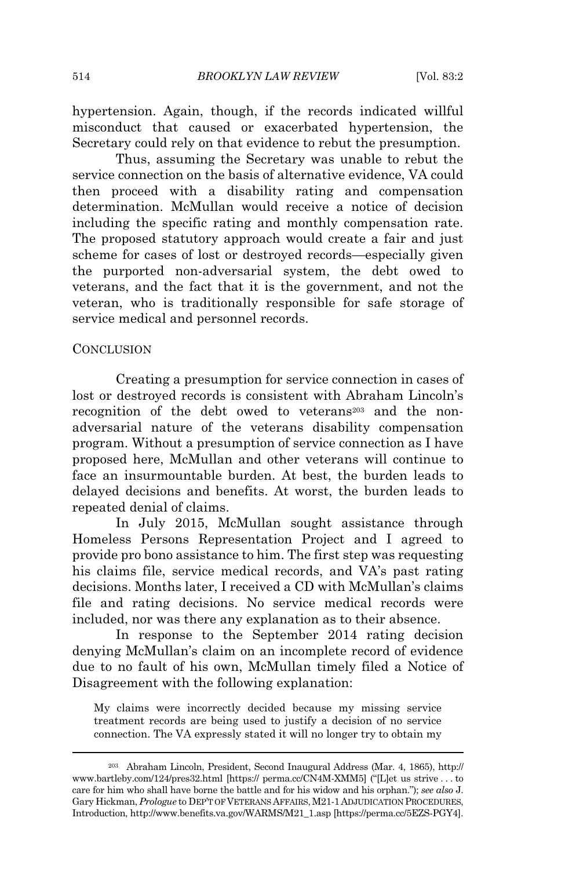hypertension. Again, though, if the records indicated willful misconduct that caused or exacerbated hypertension, the Secretary could rely on that evidence to rebut the presumption.

Thus, assuming the Secretary was unable to rebut the service connection on the basis of alternative evidence, VA could then proceed with a disability rating and compensation determination. McMullan would receive a notice of decision including the specific rating and monthly compensation rate. The proposed statutory approach would create a fair and just scheme for cases of lost or destroyed records—especially given the purported non-adversarial system, the debt owed to veterans, and the fact that it is the government, and not the veteran, who is traditionally responsible for safe storage of service medical and personnel records.

#### **CONCLUSION**

Creating a presumption for service connection in cases of lost or destroyed records is consistent with Abraham Lincoln's recognition of the debt owed to veterans<sup>203</sup> and the nonadversarial nature of the veterans disability compensation program. Without a presumption of service connection as I have proposed here, McMullan and other veterans will continue to face an insurmountable burden. At best, the burden leads to delayed decisions and benefits. At worst, the burden leads to repeated denial of claims.

In July 2015, McMullan sought assistance through Homeless Persons Representation Project and I agreed to provide pro bono assistance to him. The first step was requesting his claims file, service medical records, and VA's past rating decisions. Months later, I received a CD with McMullan's claims file and rating decisions. No service medical records were included, nor was there any explanation as to their absence.

In response to the September 2014 rating decision denying McMullan's claim on an incomplete record of evidence due to no fault of his own, McMullan timely filed a Notice of Disagreement with the following explanation:

My claims were incorrectly decided because my missing service treatment records are being used to justify a decision of no service connection. The VA expressly stated it will no longer try to obtain my

<sup>203</sup> Abraham Lincoln, President, Second Inaugural Address (Mar. 4, 1865), http:// www.bartleby.com/124/pres32.html [https:// perma.cc/CN4M-XMM5] ("[L]et us strive . . . to care for him who shall have borne the battle and for his widow and his orphan."); *see also* J. Gary Hickman, *Prologue* to DEP'T OF VETERANS AFFAIRS,M21-1ADJUDICATION PROCEDURES, Introduction, http://www.benefits.va.gov/WARMS/M21\_1.asp [https://perma.cc/5EZS-PGY4].